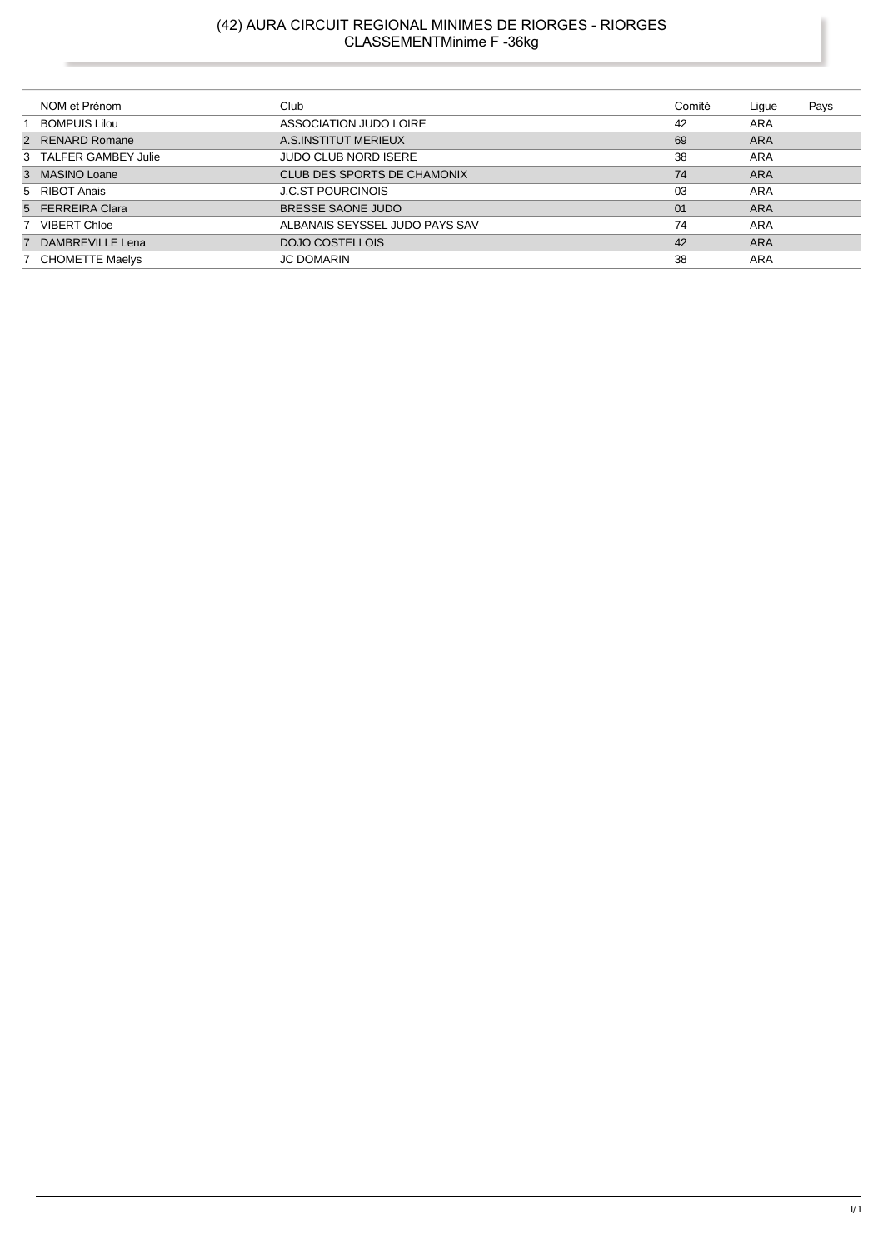#### (42) AURA CIRCUIT REGIONAL MINIMES DE RIORGES - RIORGES CLASSEMENTMinime F -36kg

|   | NOM et Prénom         | Club                           | Comité | Lique      | Pays |
|---|-----------------------|--------------------------------|--------|------------|------|
|   | <b>BOMPUIS Lilou</b>  | ASSOCIATION JUDO LOIRE         | 42     | ARA        |      |
|   | 2 RENARD Romane       | A.S.INSTITUT MERIEUX           | 69     | <b>ARA</b> |      |
|   | 3 TALFER GAMBEY Julie | <b>JUDO CLUB NORD ISERE</b>    | 38     | ARA        |      |
|   | 3 MASINO Loane        | CLUB DES SPORTS DE CHAMONIX    | 74     | <b>ARA</b> |      |
|   | 5 RIBOT Anais         | <b>J.C.ST POURCINOIS</b>       | 03     | ARA        |      |
|   | 5 FERREIRA Clara      | BRESSE SAONE JUDO              | 01     | <b>ARA</b> |      |
|   | 7 VIBERT Chloe        | ALBANAIS SEYSSEL JUDO PAYS SAV | 74     | ARA        |      |
| 7 | DAMBREVILLE Lena      | DOJO COSTELLOIS                | 42     | <b>ARA</b> |      |
|   | 7 CHOMETTE Maelys     | <b>JC DOMARIN</b>              | 38     | ARA        |      |
|   |                       |                                |        |            |      |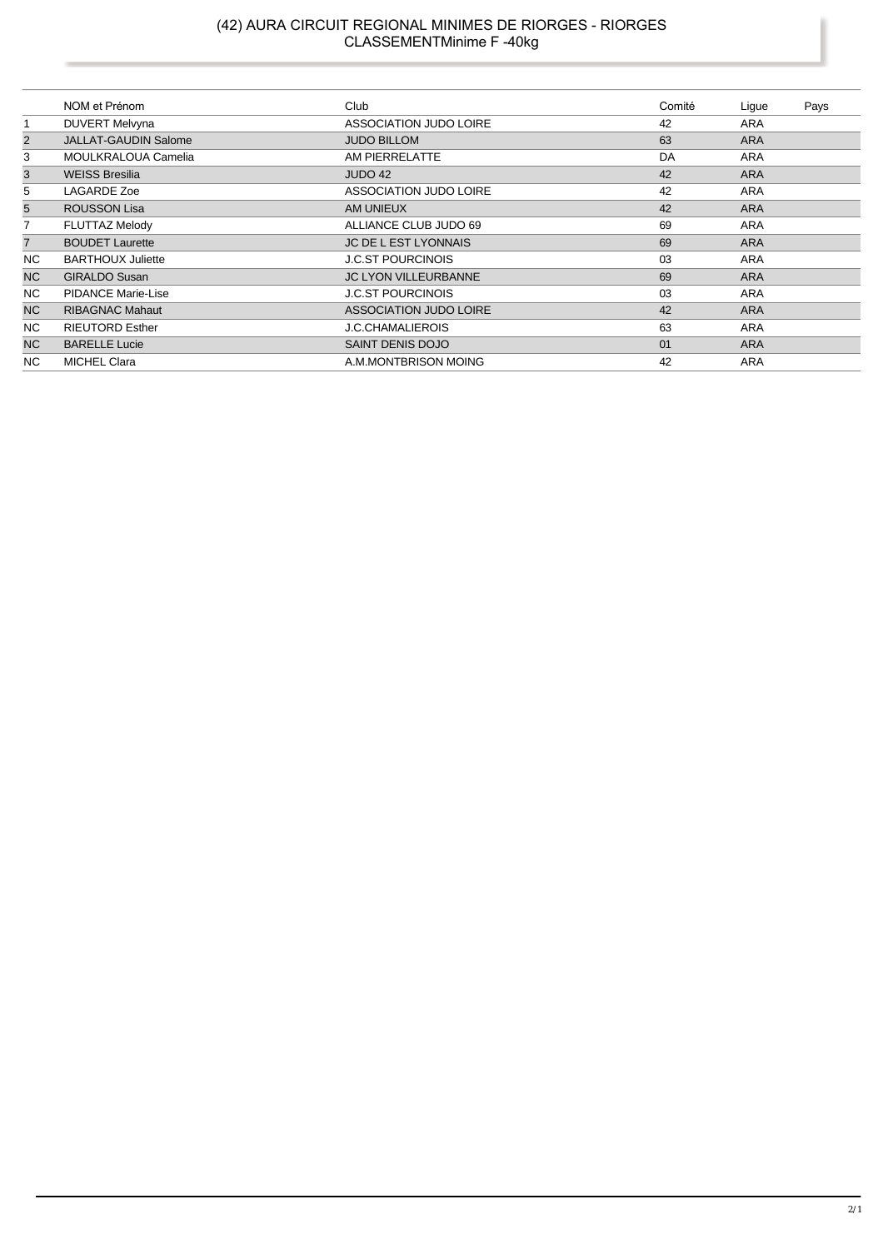#### (42) AURA CIRCUIT REGIONAL MINIMES DE RIORGES - RIORGES CLASSEMENTMinime F -40kg

|                | NOM et Prénom               | Club                          | Comité | Ligue      | Pays |
|----------------|-----------------------------|-------------------------------|--------|------------|------|
|                | <b>DUVERT Melvyna</b>       | <b>ASSOCIATION JUDO LOIRE</b> | 42     | <b>ARA</b> |      |
| $\overline{2}$ | <b>JALLAT-GAUDIN Salome</b> | <b>JUDO BILLOM</b>            | 63     | <b>ARA</b> |      |
| 3              | MOULKRALOUA Camelia         | AM PIERRELATTE                | DA     | <b>ARA</b> |      |
| 3              | <b>WEISS Bresilia</b>       | JUDO 42                       | 42     | <b>ARA</b> |      |
| 5              | <b>LAGARDE Zoe</b>          | <b>ASSOCIATION JUDO LOIRE</b> | 42     | <b>ARA</b> |      |
| 5              | <b>ROUSSON Lisa</b>         | AM UNIEUX                     | 42     | <b>ARA</b> |      |
| 7              | <b>FLUTTAZ Melody</b>       | ALLIANCE CLUB JUDO 69         | 69     | <b>ARA</b> |      |
| $\overline{7}$ | <b>BOUDET Laurette</b>      | <b>JC DE L EST LYONNAIS</b>   | 69     | <b>ARA</b> |      |
| NC.            | <b>BARTHOUX Juliette</b>    | <b>J.C.ST POURCINOIS</b>      | 03     | <b>ARA</b> |      |
| NC             | <b>GIRALDO Susan</b>        | <b>JC LYON VILLEURBANNE</b>   | 69     | <b>ARA</b> |      |
| NC.            | <b>PIDANCE Marie-Lise</b>   | <b>J.C.ST POURCINOIS</b>      | 03     | <b>ARA</b> |      |
| N <sub>C</sub> | <b>RIBAGNAC Mahaut</b>      | <b>ASSOCIATION JUDO LOIRE</b> | 42     | <b>ARA</b> |      |
| NC.            | <b>RIEUTORD Esther</b>      | J.C.CHAMALIEROIS              | 63     | ARA        |      |
| NC             | <b>BARELLE Lucie</b>        | <b>SAINT DENIS DOJO</b>       | 01     | <b>ARA</b> |      |
| NC.            | <b>MICHEL Clara</b>         | A.M.MONTBRISON MOING          | 42     | ARA        |      |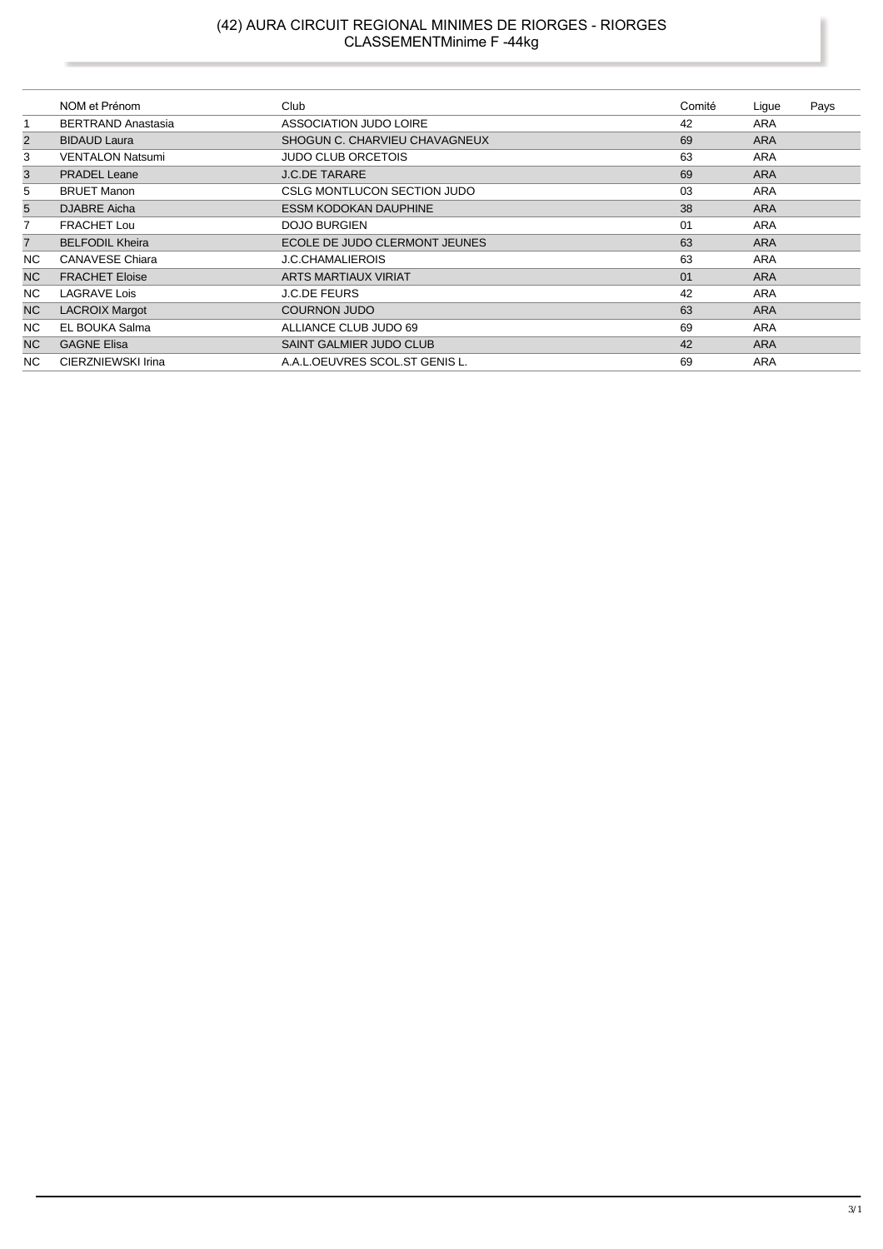#### (42) AURA CIRCUIT REGIONAL MINIMES DE RIORGES - RIORGES CLASSEMENTMinime F -44kg

|                | NOM et Prénom             | Club                           | Comité | Lique      | Pays |
|----------------|---------------------------|--------------------------------|--------|------------|------|
|                | <b>BERTRAND Anastasia</b> | ASSOCIATION JUDO LOIRE         | 42     | ARA        |      |
| $\overline{2}$ | <b>BIDAUD Laura</b>       | SHOGUN C. CHARVIEU CHAVAGNEUX  | 69     | <b>ARA</b> |      |
| 3              | <b>VENTALON Natsumi</b>   | <b>JUDO CLUB ORCETOIS</b>      | 63     | ARA        |      |
| 3              | <b>PRADEL Leane</b>       | <b>J.C.DE TARARE</b>           | 69     | <b>ARA</b> |      |
| 5              | <b>BRUET Manon</b>        | CSLG MONTLUCON SECTION JUDO    | 03     | <b>ARA</b> |      |
| 5              | <b>DJABRE</b> Aicha       | <b>ESSM KODOKAN DAUPHINE</b>   | 38     | <b>ARA</b> |      |
| 7              | <b>FRACHET Lou</b>        | <b>DOJO BURGIEN</b>            | 01     | <b>ARA</b> |      |
| $\overline{7}$ | <b>BELFODIL Kheira</b>    | ECOLE DE JUDO CLERMONT JEUNES  | 63     | <b>ARA</b> |      |
| NC.            | <b>CANAVESE Chiara</b>    | <b>J.C.CHAMALIEROIS</b>        | 63     | ARA        |      |
| <b>NC</b>      | <b>FRACHET Eloise</b>     | ARTS MARTIAUX VIRIAT           | 01     | <b>ARA</b> |      |
| NC.            | <b>LAGRAVE Lois</b>       | <b>J.C.DE FEURS</b>            | 42     | <b>ARA</b> |      |
| <b>NC</b>      | <b>LACROIX Margot</b>     | <b>COURNON JUDO</b>            | 63     | <b>ARA</b> |      |
| NC.            | EL BOUKA Salma            | ALLIANCE CLUB JUDO 69          | 69     | ARA        |      |
| NC.            | <b>GAGNE Elisa</b>        | <b>SAINT GALMIER JUDO CLUB</b> | 42     | <b>ARA</b> |      |
| NC.            | <b>CIERZNIEWSKI Irina</b> | A.A.L.OEUVRES SCOL.ST GENIS L. | 69     | ARA        |      |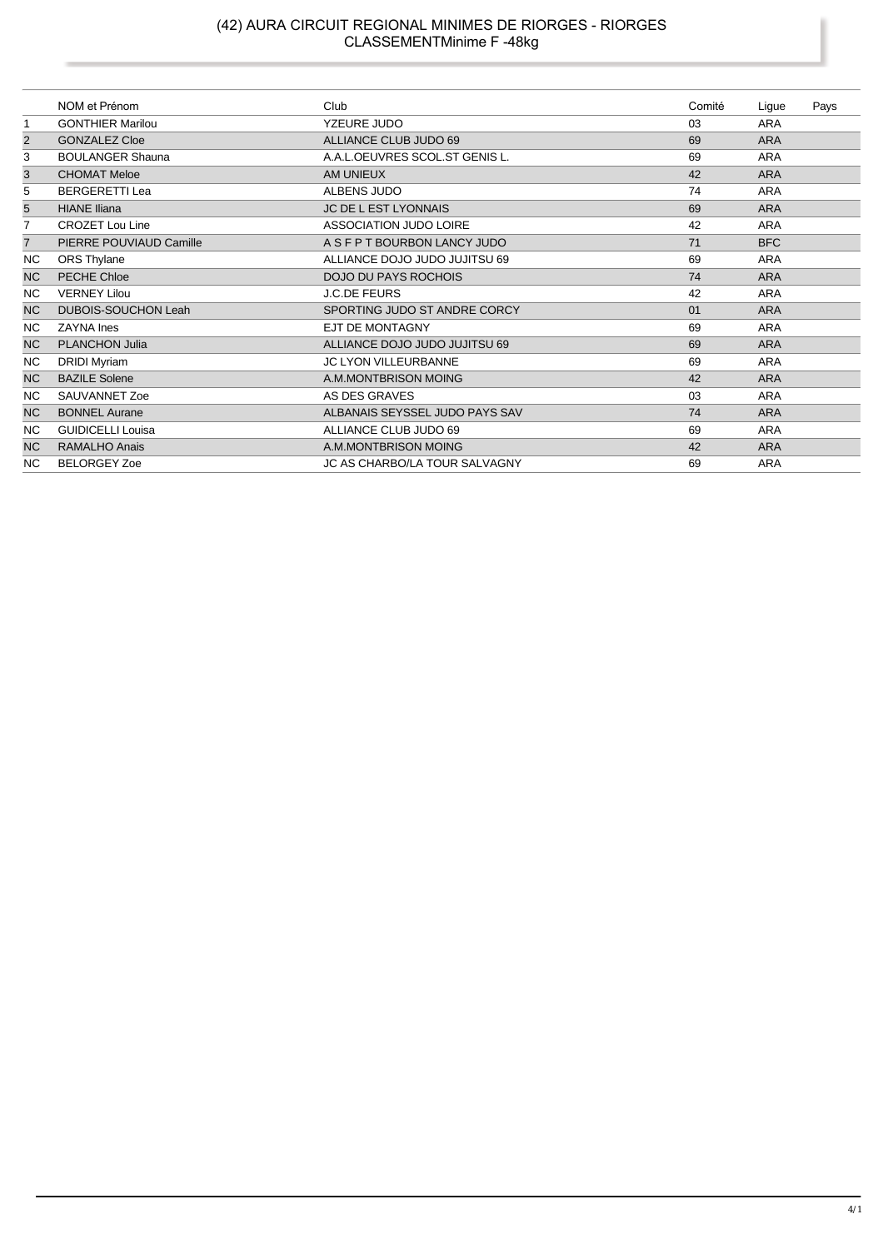# (42) AURA CIRCUIT REGIONAL MINIMES DE RIORGES - RIORGES<br>CLASSEMENTMinime F -48kg

|                | NOM et Prénom              | Club                           | Comité | Ligue      | Pays |
|----------------|----------------------------|--------------------------------|--------|------------|------|
| 1              | <b>GONTHIER Marilou</b>    | YZEURE JUDO                    | 03     | <b>ARA</b> |      |
| $\overline{2}$ | <b>GONZALEZ Cloe</b>       | ALLIANCE CLUB JUDO 69          | 69     | <b>ARA</b> |      |
| 3              | <b>BOULANGER Shauna</b>    | A.A.L.OEUVRES SCOL.ST GENIS L. | 69     | <b>ARA</b> |      |
| 3              | <b>CHOMAT Meloe</b>        | AM UNIEUX                      | 42     | <b>ARA</b> |      |
| 5              | <b>BERGERETTI Lea</b>      | ALBENS JUDO                    | 74     | <b>ARA</b> |      |
| $\overline{5}$ | <b>HIANE Iliana</b>        | JC DE L EST LYONNAIS           | 69     | <b>ARA</b> |      |
| 7              | <b>CROZET Lou Line</b>     | <b>ASSOCIATION JUDO LOIRE</b>  | 42     | <b>ARA</b> |      |
| $\overline{7}$ | PIERRE POUVIAUD Camille    | A S F P T BOURBON LANCY JUDO   | 71     | <b>BFC</b> |      |
| <b>NC</b>      | ORS Thylane                | ALLIANCE DOJO JUDO JUJITSU 69  | 69     | <b>ARA</b> |      |
| <b>NC</b>      | PECHE Chloe                | <b>DOJO DU PAYS ROCHOIS</b>    | 74     | <b>ARA</b> |      |
| <b>NC</b>      | <b>VERNEY Lilou</b>        | <b>J.C.DE FEURS</b>            | 42     | <b>ARA</b> |      |
| <b>NC</b>      | <b>DUBOIS-SOUCHON Leah</b> | SPORTING JUDO ST ANDRE CORCY   | 01     | <b>ARA</b> |      |
| <b>NC</b>      | <b>ZAYNA</b> Ines          | <b>EJT DE MONTAGNY</b>         | 69     | ARA        |      |
| <b>NC</b>      | <b>PLANCHON Julia</b>      | ALLIANCE DOJO JUDO JUJITSU 69  | 69     | <b>ARA</b> |      |
| <b>NC</b>      | <b>DRIDI</b> Myriam        | <b>JC LYON VILLEURBANNE</b>    | 69     | ARA        |      |
| <b>NC</b>      | <b>BAZILE Solene</b>       | A.M.MONTBRISON MOING           | 42     | <b>ARA</b> |      |
| <b>NC</b>      | SAUVANNET Zoe              | AS DES GRAVES                  | 03     | <b>ARA</b> |      |
| <b>NC</b>      | <b>BONNEL Aurane</b>       | ALBANAIS SEYSSEL JUDO PAYS SAV | 74     | <b>ARA</b> |      |
| <b>NC</b>      | <b>GUIDICELLI Louisa</b>   | ALLIANCE CLUB JUDO 69          | 69     | ARA        |      |
| <b>NC</b>      | <b>RAMALHO Anais</b>       | A.M.MONTBRISON MOING           | 42     | <b>ARA</b> |      |
| <b>NC</b>      | <b>BELORGEY Zoe</b>        | JC AS CHARBO/LA TOUR SALVAGNY  | 69     | <b>ARA</b> |      |

l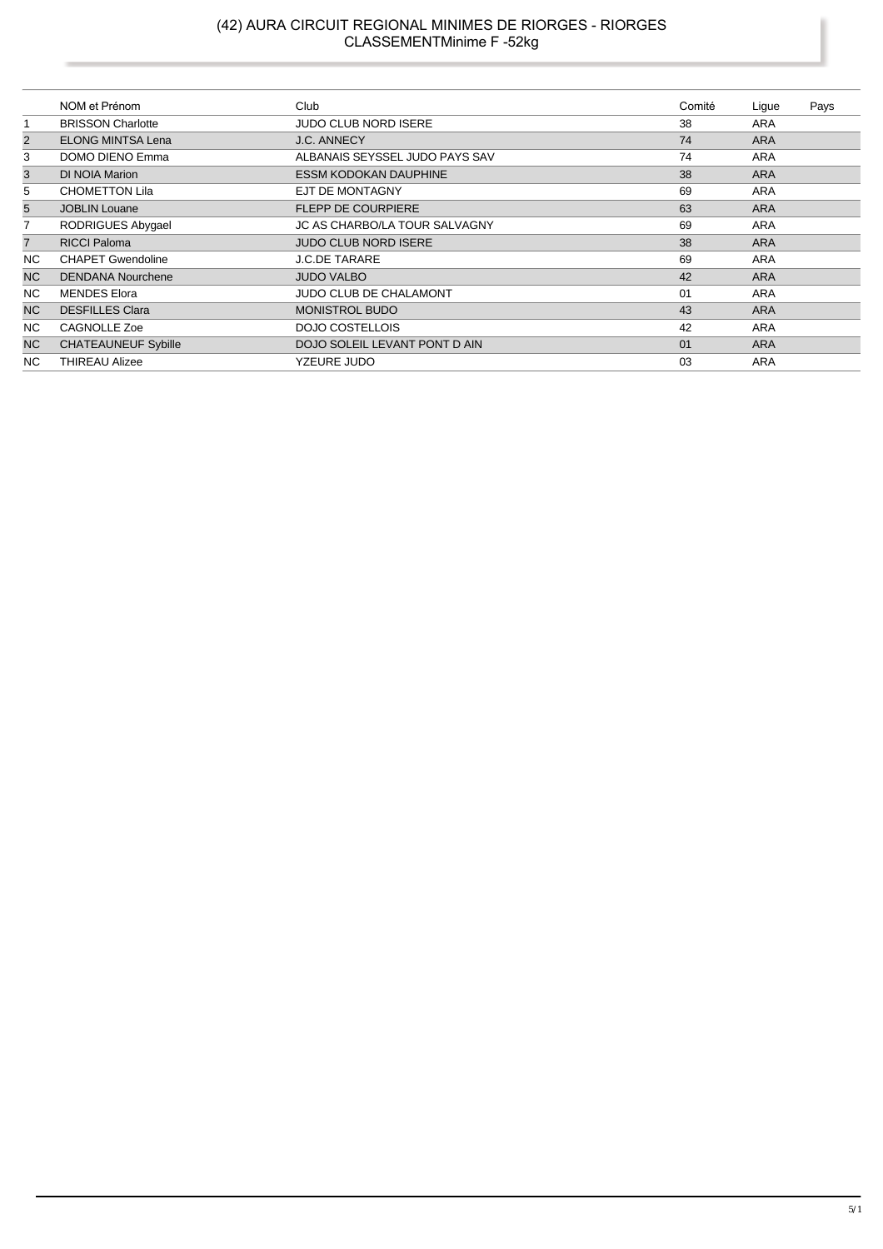# (42) AURA CIRCUIT REGIONAL MINIMES DE RIORGES - RIORGES<br>CLASSEMENTMinime F -52kg

|                | NOM et Prénom              | Club                           | Comité | Ligue      | Pays |
|----------------|----------------------------|--------------------------------|--------|------------|------|
|                | <b>BRISSON Charlotte</b>   | <b>JUDO CLUB NORD ISERE</b>    | 38     | ARA        |      |
| $\overline{2}$ | <b>ELONG MINTSA Lena</b>   | <b>J.C. ANNECY</b>             | 74     | <b>ARA</b> |      |
| 3              | DOMO DIENO Emma            | ALBANAIS SEYSSEL JUDO PAYS SAV | 74     | <b>ARA</b> |      |
| 3              | DI NOIA Marion             | <b>ESSM KODOKAN DAUPHINE</b>   | 38     | <b>ARA</b> |      |
| 5              | <b>CHOMETTON Lila</b>      | <b>EJT DE MONTAGNY</b>         | 69     | <b>ARA</b> |      |
| 5              | <b>JOBLIN</b> Louane       | <b>FLEPP DE COURPIERE</b>      | 63     | <b>ARA</b> |      |
| 7              | RODRIGUES Abygael          | JC AS CHARBO/LA TOUR SALVAGNY  | 69     | ARA        |      |
| $\overline{7}$ | <b>RICCI Paloma</b>        | <b>JUDO CLUB NORD ISERE</b>    | 38     | <b>ARA</b> |      |
| <b>NC</b>      | <b>CHAPET Gwendoline</b>   | <b>J.C.DE TARARE</b>           | 69     | <b>ARA</b> |      |
| N <sub>C</sub> | <b>DENDANA Nourchene</b>   | <b>JUDO VALBO</b>              | 42     | <b>ARA</b> |      |
| <b>NC</b>      | <b>MENDES Elora</b>        | <b>JUDO CLUB DE CHALAMONT</b>  | 01     | ARA        |      |
| N <sub>C</sub> | <b>DESFILLES Clara</b>     | <b>MONISTROL BUDO</b>          | 43     | <b>ARA</b> |      |
| NC.            | CAGNOLLE Zoe               | DOJO COSTELLOIS                | 42     | ARA        |      |
| NC             | <b>CHATEAUNEUF Sybille</b> | DOJO SOLEIL LEVANT PONT D AIN  | 01     | <b>ARA</b> |      |
| <b>NC</b>      | <b>THIREAU Alizee</b>      | <b>YZEURE JUDO</b>             | 03     | <b>ARA</b> |      |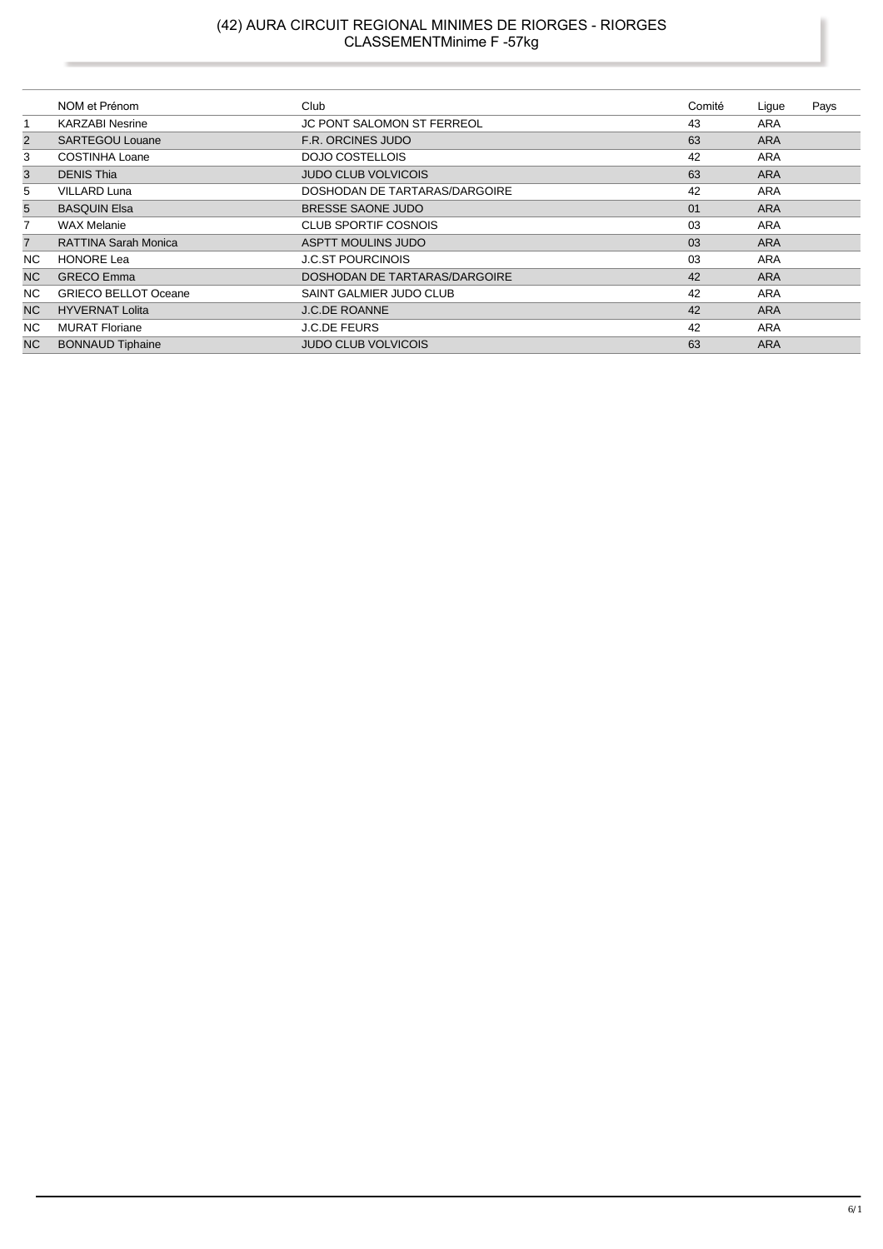# (42) AURA CIRCUIT REGIONAL MINIMES DE RIORGES - RIORGES<br>CLASSEMENTMinime F -57kg

|                | NOM et Prénom               | Club                              | Comité | Lique      | Pays |
|----------------|-----------------------------|-----------------------------------|--------|------------|------|
|                | <b>KARZABI Nesrine</b>      | <b>JC PONT SALOMON ST FERREOL</b> | 43     | ARA        |      |
| $\overline{2}$ | <b>SARTEGOU Louane</b>      | <b>F.R. ORCINES JUDO</b>          | 63     | <b>ARA</b> |      |
| 3              | <b>COSTINHA Loane</b>       | DOJO COSTELLOIS                   | 42     | ARA        |      |
| 3              | <b>DENIS Thia</b>           | <b>JUDO CLUB VOLVICOIS</b>        | 63     | <b>ARA</b> |      |
| 5              | <b>VILLARD Luna</b>         | DOSHODAN DE TARTARAS/DARGOIRE     | 42     | <b>ARA</b> |      |
| 5              | <b>BASQUIN Elsa</b>         | <b>BRESSE SAONE JUDO</b>          | 01     | <b>ARA</b> |      |
| 7              | <b>WAX Melanie</b>          | <b>CLUB SPORTIF COSNOIS</b>       | 03     | <b>ARA</b> |      |
| $\overline{7}$ | RATTINA Sarah Monica        | ASPTT MOULINS JUDO                | 03     | <b>ARA</b> |      |
| NC.            | <b>HONORE Lea</b>           | <b>J.C.ST POURCINOIS</b>          | 03     | ARA        |      |
| N <sub>C</sub> | <b>GRECO</b> Emma           | DOSHODAN DE TARTARAS/DARGOIRE     | 42     | <b>ARA</b> |      |
| <b>NC</b>      | <b>GRIECO BELLOT Oceane</b> | SAINT GALMIER JUDO CLUB           | 42     | ARA        |      |
| <b>NC</b>      | <b>HYVERNAT Lolita</b>      | <b>J.C.DE ROANNE</b>              | 42     | <b>ARA</b> |      |
| <b>NC</b>      | <b>MURAT Floriane</b>       | <b>J.C.DE FEURS</b>               | 42     | ARA        |      |
| <b>NC</b>      | <b>BONNAUD Tiphaine</b>     | <b>JUDO CLUB VOLVICOIS</b>        | 63     | <b>ARA</b> |      |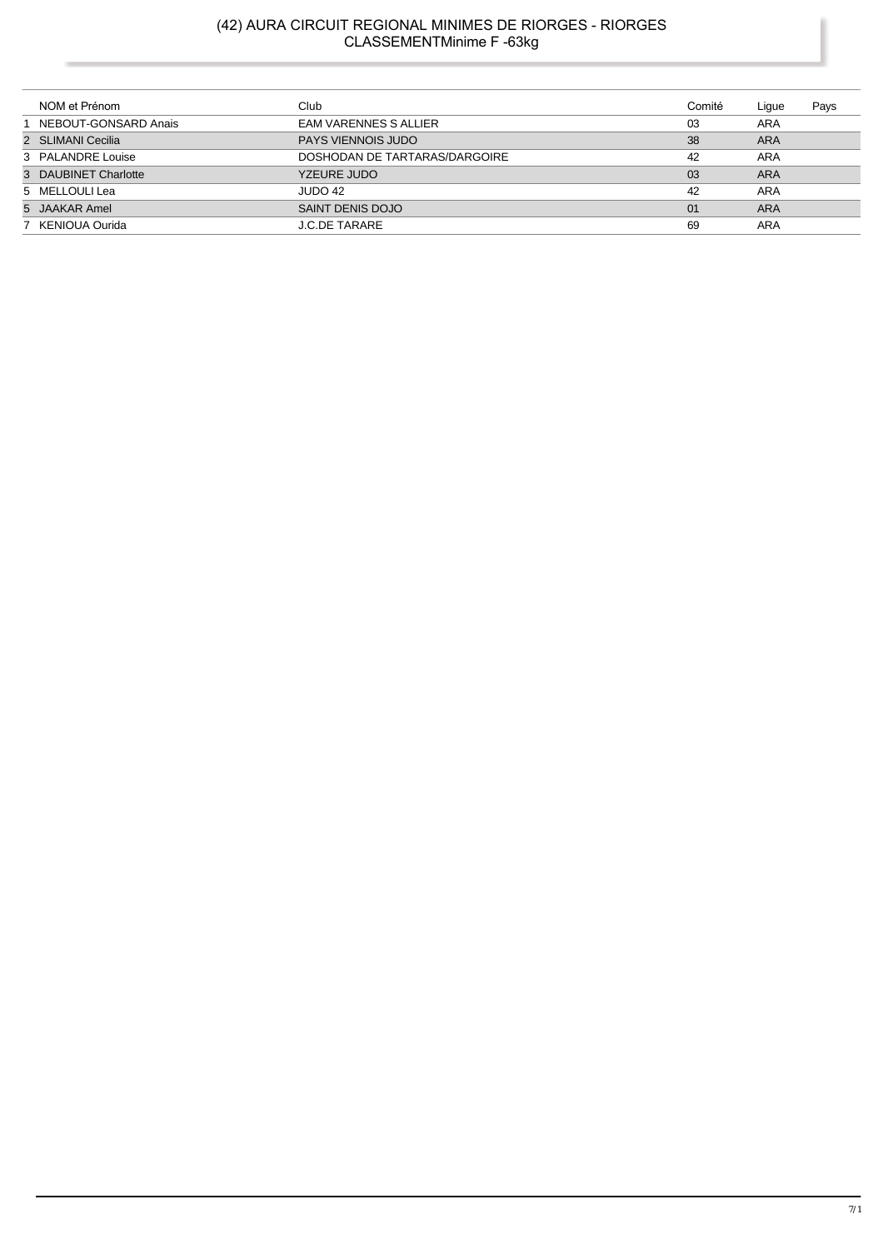# (42) AURA CIRCUIT REGIONAL MINIMES DE RIORGES - RIORGES<br>CLASSEMENTMinime F -63kg

| NOM et Prénom        | Club                          | Comité | Lique      | Pays |
|----------------------|-------------------------------|--------|------------|------|
| NEBOUT-GONSARD Anais | <b>EAM VARENNES S ALLIER</b>  | 03     | ARA        |      |
| 2 SLIMANI Cecilia    | PAYS VIENNOIS JUDO            | 38     | <b>ARA</b> |      |
| 3 PALANDRE Louise    | DOSHODAN DE TARTARAS/DARGOIRE | 42     | ARA        |      |
| 3 DAUBINET Charlotte | YZEURE JUDO                   | 03     | <b>ARA</b> |      |
| 5 MELLOULI Lea       | JUDO 42                       | 42     | ARA        |      |
| 5 JAAKAR Amel        | SAINT DENIS DOJO              | 01     | <b>ARA</b> |      |
| 7 KENIOUA Ourida     | <b>J.C.DE TARARE</b>          | 69     | ARA        |      |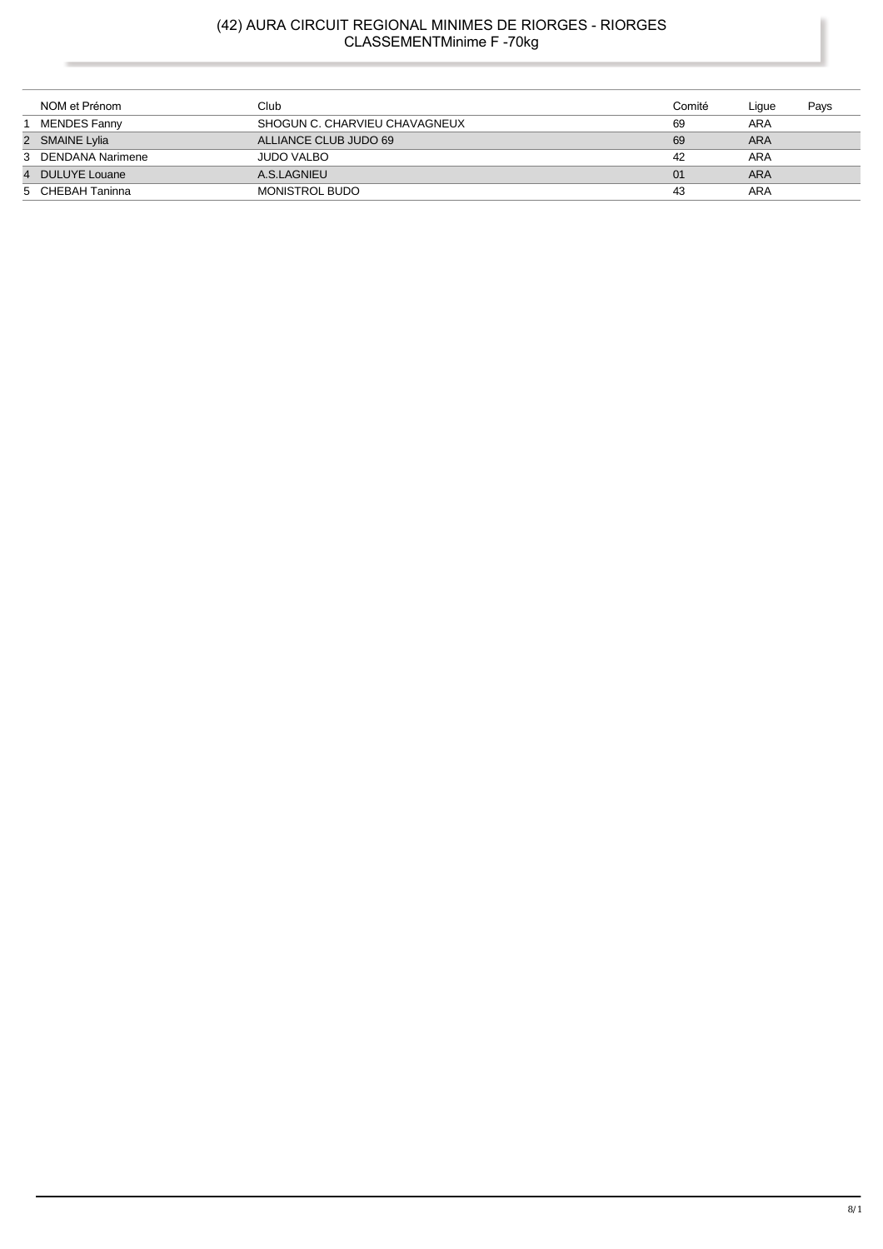# (42) AURA CIRCUIT REGIONAL MINIMES DE RIORGES - RIORGES<br>CLASSEMENTMinime F -70kg

| NOM et Prénom      | Club                          | Comité | Lique | Pays |
|--------------------|-------------------------------|--------|-------|------|
| MENDES Fanny       | SHOGUN C. CHARVIEU CHAVAGNEUX | 69     | ARA   |      |
| 2 SMAINE Lylia     | ALLIANCE CLUB JUDO 69         | 69     | ARA   |      |
| 3 DENDANA Narimene | <b>JUDO VALBO</b>             | 42     | ARA   |      |
| DULUYE Louane      | A.S.LAGNIEU                   | 01     | ARA   |      |
| 5 CHEBAH Taninna   | MONISTROL BUDO                | 43     | ARA   |      |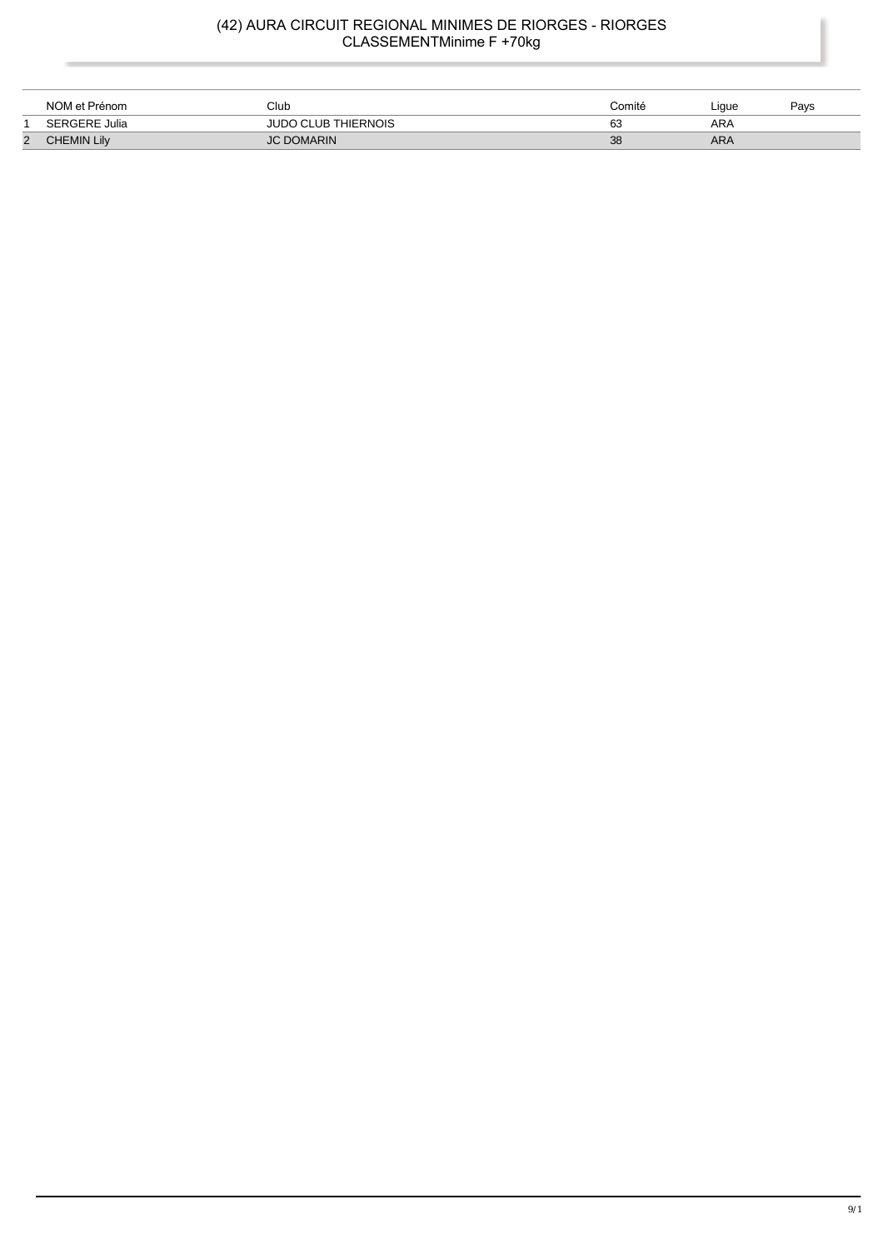# (42) AURA CIRCUIT REGIONAL MINIMES DE RIORGES - RIORGES<br>CLASSEMENTMinime F +70kg

|                | NOM et Prénom        | Club                                 | Comité | Liaue | Pavs |
|----------------|----------------------|--------------------------------------|--------|-------|------|
|                | <b>SERGERE Julia</b> | <b>THIERNOIS</b><br>_UB <sup>-</sup> | 63     | ARA   |      |
| $\overline{2}$ | CHEMIN Lily          | <b>OMARIN</b>                        | 38     | ARA   |      |

t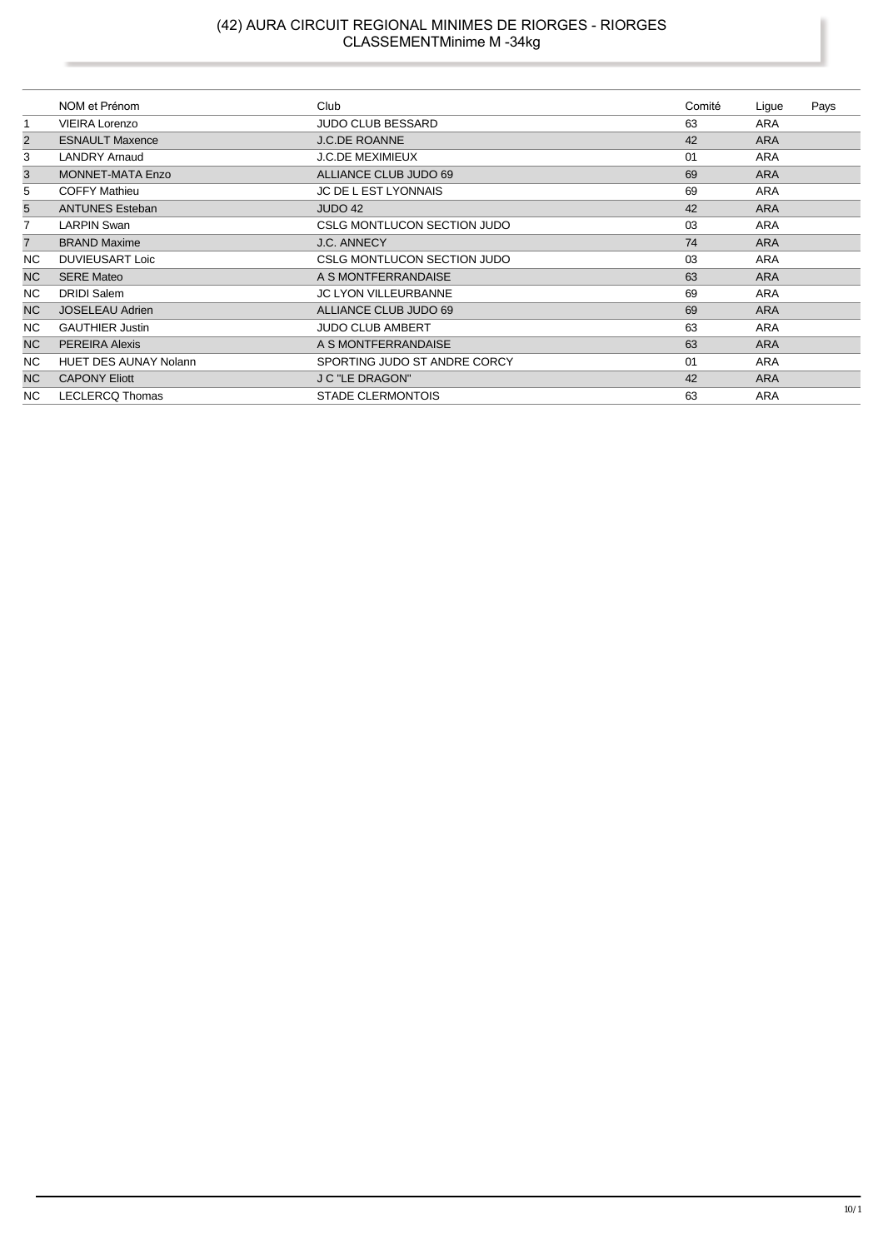#### (42) AURA CIRCUIT REGIONAL MINIMES DE RIORGES - RIORGES CLASSEMENTMinime M -34kg

|                | NOM et Prénom                | Club                         | Comité | Lique      | Pays |
|----------------|------------------------------|------------------------------|--------|------------|------|
| $\mathbf{1}$   | <b>VIEIRA Lorenzo</b>        | <b>JUDO CLUB BESSARD</b>     | 63     | ARA        |      |
| $\overline{2}$ | <b>ESNAULT Maxence</b>       | <b>J.C.DE ROANNE</b>         | 42     | <b>ARA</b> |      |
| 3              | <b>LANDRY Arnaud</b>         | <b>J.C.DE MEXIMIEUX</b>      | 01     | <b>ARA</b> |      |
| 3              | <b>MONNET-MATA Enzo</b>      | ALLIANCE CLUB JUDO 69        | 69     | <b>ARA</b> |      |
| 5              | <b>COFFY Mathieu</b>         | <b>JC DE L EST LYONNAIS</b>  | 69     | ARA        |      |
| 5              | <b>ANTUNES Esteban</b>       | JUDO 42                      | 42     | <b>ARA</b> |      |
| 7              | <b>LARPIN Swan</b>           | CSLG MONTLUCON SECTION JUDO  | 03     | <b>ARA</b> |      |
| $\overline{7}$ | <b>BRAND Maxime</b>          | J.C. ANNECY                  | 74     | <b>ARA</b> |      |
| NC.            | <b>DUVIEUSART Loic</b>       | CSLG MONTLUCON SECTION JUDO  | 03     | <b>ARA</b> |      |
| N <sub>C</sub> | <b>SERE Mateo</b>            | A S MONTFERRANDAISE          | 63     | <b>ARA</b> |      |
| <b>NC</b>      | <b>DRIDI Salem</b>           | <b>JC LYON VILLEURBANNE</b>  | 69     | <b>ARA</b> |      |
| <b>NC</b>      | <b>JOSELEAU Adrien</b>       | ALLIANCE CLUB JUDO 69        | 69     | <b>ARA</b> |      |
| <b>NC</b>      | <b>GAUTHIER Justin</b>       | <b>JUDO CLUB AMBERT</b>      | 63     | ARA        |      |
| <b>NC</b>      | <b>PEREIRA Alexis</b>        | A S MONTFERRANDAISE          | 63     | <b>ARA</b> |      |
| <b>NC</b>      | <b>HUET DES AUNAY Nolann</b> | SPORTING JUDO ST ANDRE CORCY | 01     | ARA        |      |
| N <sub>C</sub> | <b>CAPONY Eliott</b>         | <b>J C "LE DRAGON"</b>       | 42     | ARA        |      |
| <b>NC</b>      | LECLERCQ Thomas              | STADE CLERMONTOIS            | 63     | <b>ARA</b> |      |

l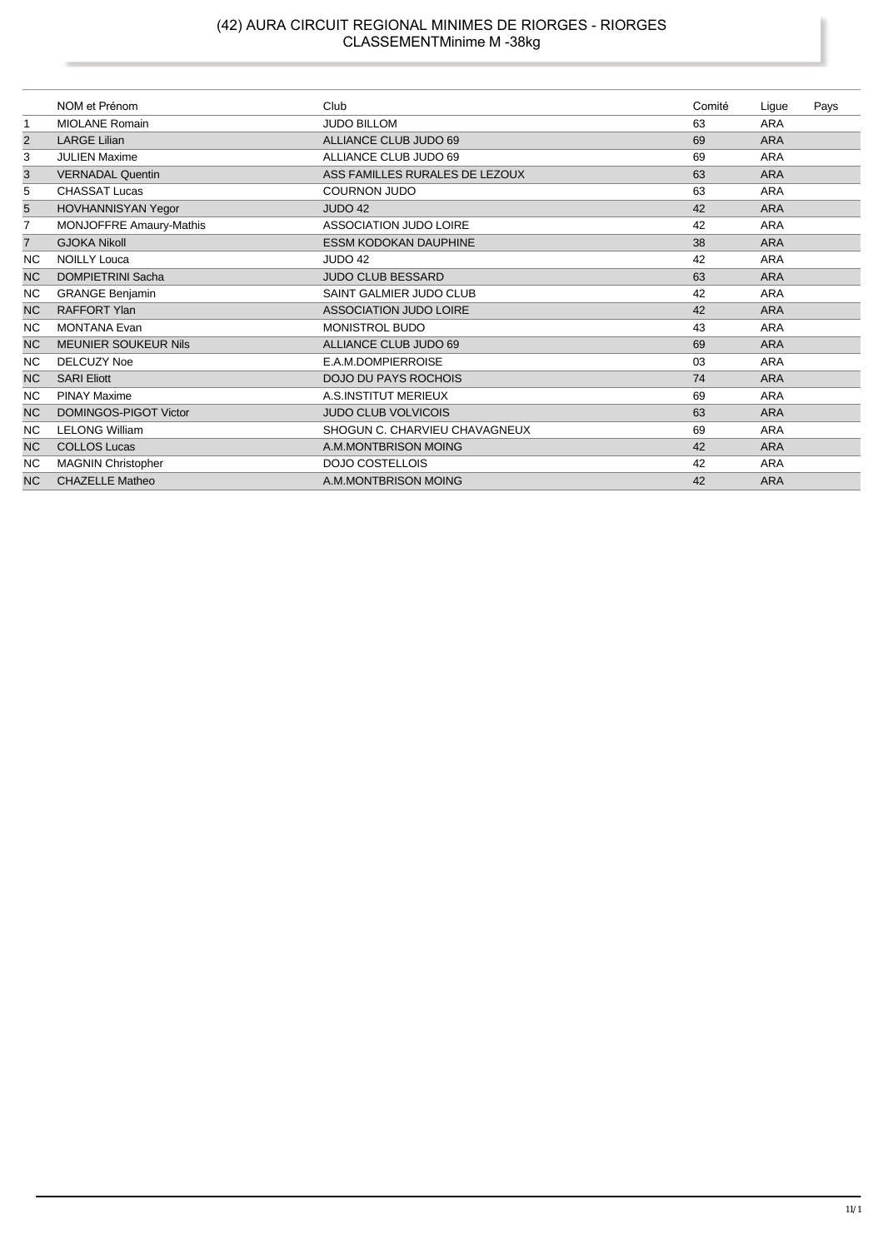# (42) AURA CIRCUIT REGIONAL MINIMES DE RIORGES - RIORGES<br>CLASSEMENTMinime M -38kg

|                | NOM et Prénom               | Club                           | Comité |            | Pays |
|----------------|-----------------------------|--------------------------------|--------|------------|------|
|                |                             |                                |        | Ligue      |      |
| 1              | <b>MIOLANE Romain</b>       | <b>JUDO BILLOM</b>             | 63     | ARA        |      |
| $\overline{2}$ | <b>LARGE Lilian</b>         | ALLIANCE CLUB JUDO 69          | 69     | <b>ARA</b> |      |
| 3              | <b>JULIEN Maxime</b>        | ALLIANCE CLUB JUDO 69          | 69     | <b>ARA</b> |      |
| 3              | <b>VERNADAL Quentin</b>     | ASS FAMILLES RURALES DE LEZOUX | 63     | <b>ARA</b> |      |
| 5              | <b>CHASSAT Lucas</b>        | <b>COURNON JUDO</b>            | 63     | ARA        |      |
| 5              | HOVHANNISYAN Yegor          | JUDO 42                        | 42     | <b>ARA</b> |      |
| $\overline{7}$ | MONJOFFRE Amaury-Mathis     | ASSOCIATION JUDO LOIRE         | 42     | <b>ARA</b> |      |
| $\overline{7}$ | <b>GJOKA Nikoll</b>         | <b>ESSM KODOKAN DAUPHINE</b>   | 38     | <b>ARA</b> |      |
| NC.            | <b>NOILLY Louca</b>         | JUDO 42                        | 42     | ARA        |      |
| <b>NC</b>      | <b>DOMPIETRINI Sacha</b>    | <b>JUDO CLUB BESSARD</b>       | 63     | <b>ARA</b> |      |
| <b>NC</b>      | <b>GRANGE Benjamin</b>      | SAINT GALMIER JUDO CLUB        | 42     | ARA        |      |
| <b>NC</b>      | <b>RAFFORT Ylan</b>         | ASSOCIATION JUDO LOIRE         | 42     | <b>ARA</b> |      |
| <b>NC</b>      | <b>MONTANA Evan</b>         | <b>MONISTROL BUDO</b>          | 43     | <b>ARA</b> |      |
| <b>NC</b>      | <b>MEUNIER SOUKEUR Nils</b> | ALLIANCE CLUB JUDO 69          | 69     | <b>ARA</b> |      |
| <b>NC</b>      | <b>DELCUZY Noe</b>          | E.A.M.DOMPIERROISE             | 03     | ARA        |      |
| <b>NC</b>      | <b>SARI Eliott</b>          | <b>DOJO DU PAYS ROCHOIS</b>    | 74     | <b>ARA</b> |      |
| <b>NC</b>      | <b>PINAY Maxime</b>         | A.S.INSTITUT MERIEUX           | 69     | <b>ARA</b> |      |
| <b>NC</b>      | DOMINGOS-PIGOT Victor       | <b>JUDO CLUB VOLVICOIS</b>     | 63     | <b>ARA</b> |      |
| <b>NC</b>      | <b>LELONG William</b>       | SHOGUN C. CHARVIEU CHAVAGNEUX  | 69     | <b>ARA</b> |      |
| <b>NC</b>      | <b>COLLOS Lucas</b>         | A.M.MONTBRISON MOING           | 42     | <b>ARA</b> |      |
| NC.            | <b>MAGNIN Christopher</b>   | <b>DOJO COSTELLOIS</b>         | 42     | <b>ARA</b> |      |
| <b>NC</b>      | <b>CHAZELLE Matheo</b>      | A.M.MONTBRISON MOING           | 42     | <b>ARA</b> |      |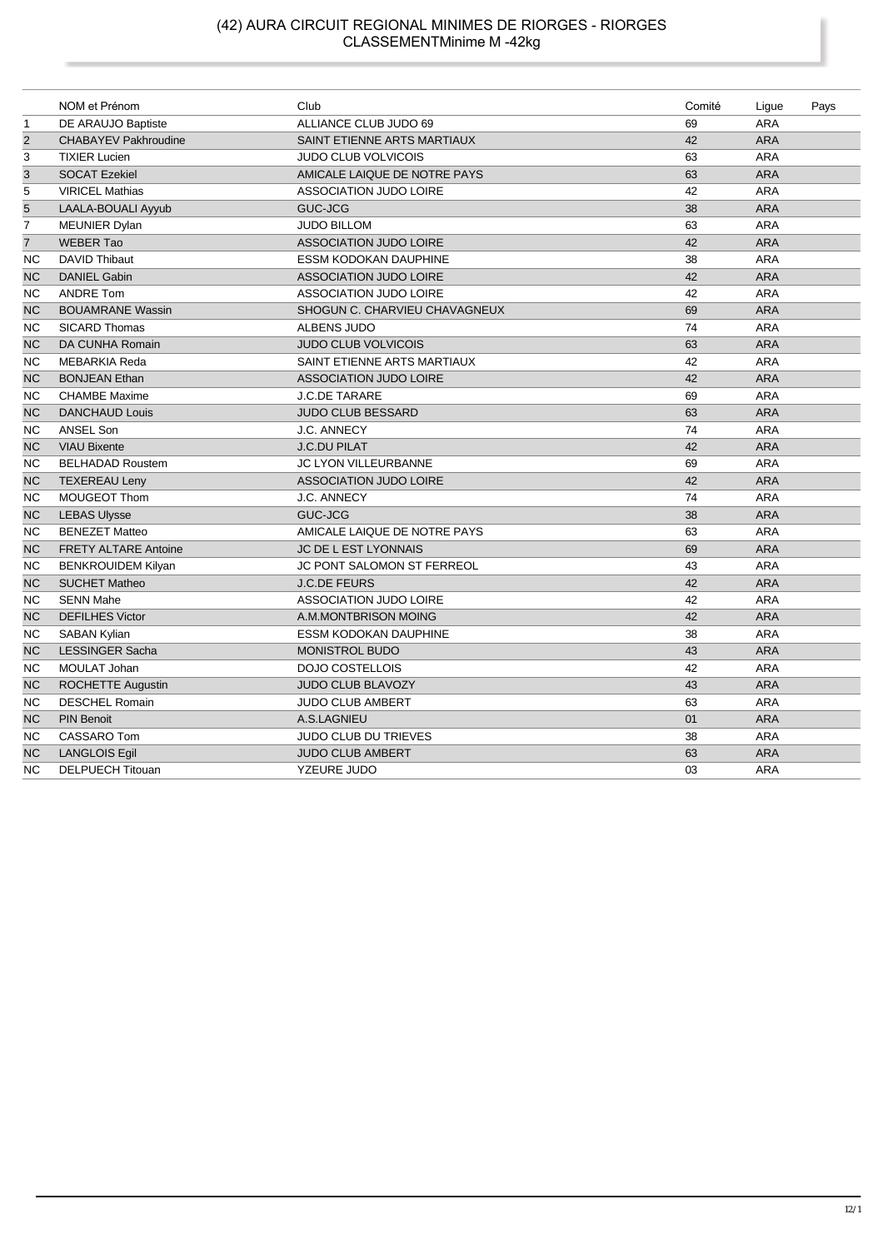# (42) AURA CIRCUIT REGIONAL MINIMES DE RIORGES - RIORGES<br>CLASSEMENTMinime M -42kg

|                | NOM et Prénom               | Club                              | Comité | Ligue      | Pays |
|----------------|-----------------------------|-----------------------------------|--------|------------|------|
| $\mathbf{1}$   | DE ARAUJO Baptiste          | ALLIANCE CLUB JUDO 69             | 69     | <b>ARA</b> |      |
| $\overline{2}$ | <b>CHABAYEV Pakhroudine</b> | SAINT ETIENNE ARTS MARTIAUX       | 42     | <b>ARA</b> |      |
| 3              | <b>TIXIER Lucien</b>        | <b>JUDO CLUB VOLVICOIS</b>        | 63     | <b>ARA</b> |      |
| 3              | <b>SOCAT Ezekiel</b>        | AMICALE LAIQUE DE NOTRE PAYS      | 63     | <b>ARA</b> |      |
| 5              | <b>VIRICEL Mathias</b>      | ASSOCIATION JUDO LOIRE            | 42     | <b>ARA</b> |      |
| $\overline{5}$ | LAALA-BOUALI Ayyub          | <b>GUC-JCG</b>                    | 38     | <b>ARA</b> |      |
| $\overline{7}$ | <b>MEUNIER Dylan</b>        | <b>JUDO BILLOM</b>                | 63     | <b>ARA</b> |      |
| $\overline{7}$ | <b>WEBER Tao</b>            | ASSOCIATION JUDO LOIRE            | 42     | <b>ARA</b> |      |
| NC             | <b>DAVID Thibaut</b>        | <b>ESSM KODOKAN DAUPHINE</b>      | 38     | <b>ARA</b> |      |
| <b>NC</b>      | <b>DANIEL Gabin</b>         | <b>ASSOCIATION JUDO LOIRE</b>     | 42     | <b>ARA</b> |      |
| ΝC             | <b>ANDRE Tom</b>            | ASSOCIATION JUDO LOIRE            | 42     | <b>ARA</b> |      |
| <b>NC</b>      | <b>BOUAMRANE Wassin</b>     | SHOGUN C. CHARVIEU CHAVAGNEUX     | 69     | <b>ARA</b> |      |
| ΝC             | <b>SICARD Thomas</b>        | ALBENS JUDO                       | 74     | <b>ARA</b> |      |
| <b>NC</b>      | DA CUNHA Romain             | <b>JUDO CLUB VOLVICOIS</b>        | 63     | <b>ARA</b> |      |
| <b>NC</b>      | <b>MEBARKIA Reda</b>        | SAINT ETIENNE ARTS MARTIAUX       | 42     | <b>ARA</b> |      |
| <b>NC</b>      | <b>BONJEAN Ethan</b>        | <b>ASSOCIATION JUDO LOIRE</b>     | 42     | <b>ARA</b> |      |
| <b>NC</b>      | <b>CHAMBE Maxime</b>        | <b>J.C.DE TARARE</b>              | 69     | <b>ARA</b> |      |
| <b>NC</b>      | <b>DANCHAUD Louis</b>       | <b>JUDO CLUB BESSARD</b>          | 63     | <b>ARA</b> |      |
| NC.            | ANSEL Son                   | <b>J.C. ANNECY</b>                | 74     | ARA        |      |
| <b>NC</b>      | <b>VIAU Bixente</b>         | <b>J.C.DU PILAT</b>               | 42     | <b>ARA</b> |      |
| ΝC             | <b>BELHADAD Roustem</b>     | JC LYON VILLEURBANNE              | 69     | <b>ARA</b> |      |
| <b>NC</b>      | <b>TEXEREAU Leny</b>        | <b>ASSOCIATION JUDO LOIRE</b>     | 42     | <b>ARA</b> |      |
| <b>NC</b>      | <b>MOUGEOT Thom</b>         | J.C. ANNECY                       | 74     | <b>ARA</b> |      |
| <b>NC</b>      | <b>LEBAS Ulysse</b>         | GUC-JCG                           | 38     | <b>ARA</b> |      |
| NC.            | <b>BENEZET Matteo</b>       | AMICALE LAIQUE DE NOTRE PAYS      | 63     | <b>ARA</b> |      |
| <b>NC</b>      | <b>FRETY ALTARE Antoine</b> | <b>JC DE L EST LYONNAIS</b>       | 69     | <b>ARA</b> |      |
| NC.            | <b>BENKROUIDEM Kilyan</b>   | <b>JC PONT SALOMON ST FERREOL</b> | 43     | <b>ARA</b> |      |
| <b>NC</b>      | <b>SUCHET Matheo</b>        | <b>J.C.DE FEURS</b>               | 42     | <b>ARA</b> |      |
| ΝC             | <b>SENN Mahe</b>            | ASSOCIATION JUDO LOIRE            | 42     | <b>ARA</b> |      |
| <b>NC</b>      | <b>DEFILHES Victor</b>      | A.M.MONTBRISON MOING              | 42     | <b>ARA</b> |      |
| <b>NC</b>      | SABAN Kylian                | <b>ESSM KODOKAN DAUPHINE</b>      | 38     | <b>ARA</b> |      |
| <b>NC</b>      | <b>LESSINGER Sacha</b>      | <b>MONISTROL BUDO</b>             | 43     | <b>ARA</b> |      |
| NС             | MOULAT Johan                | <b>DOJO COSTELLOIS</b>            | 42     | ARA        |      |
| <b>NC</b>      | <b>ROCHETTE Augustin</b>    | <b>JUDO CLUB BLAVOZY</b>          | 43     | <b>ARA</b> |      |
| NС             | <b>DESCHEL Romain</b>       | <b>JUDO CLUB AMBERT</b>           | 63     | ARA        |      |
| <b>NC</b>      | <b>PIN Benoit</b>           | A.S.LAGNIEU                       | 01     | <b>ARA</b> |      |
| NC.            | CASSARO Tom                 | <b>JUDO CLUB DU TRIEVES</b>       | 38     | <b>ARA</b> |      |
| <b>NC</b>      | <b>LANGLOIS Egil</b>        | <b>JUDO CLUB AMBERT</b>           | 63     | <b>ARA</b> |      |
| <b>NC</b>      | <b>DELPUECH Titouan</b>     | YZEURE JUDO                       | 03     | <b>ARA</b> |      |

ı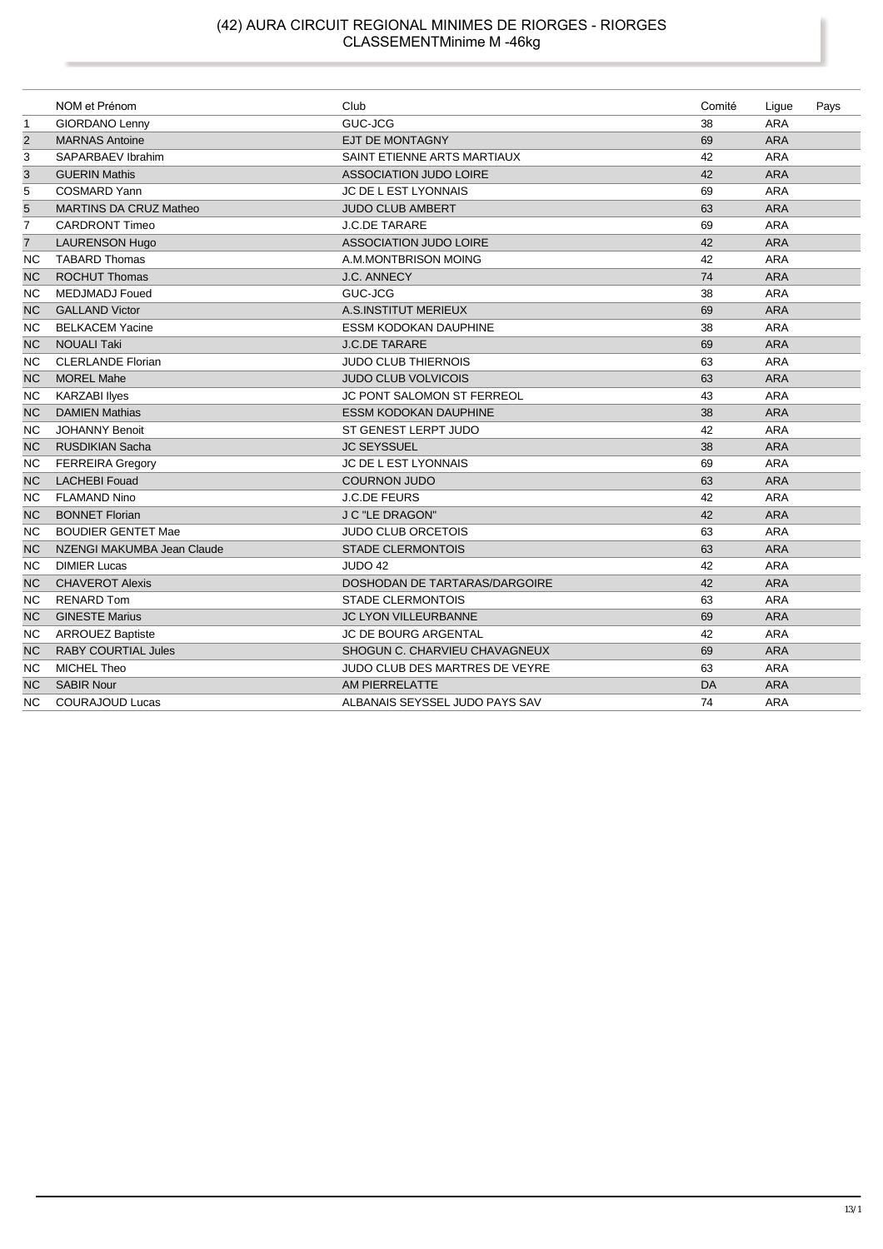# (42) AURA CIRCUIT REGIONAL MINIMES DE RIORGES - RIORGES<br>CLASSEMENTMinime M -46kg

|                | NOM et Prénom                 | Club                              | Comité | Ligue      | Pays |
|----------------|-------------------------------|-----------------------------------|--------|------------|------|
| 1              | <b>GIORDANO Lenny</b>         | GUC-JCG                           | 38     | <b>ARA</b> |      |
| $\overline{2}$ | <b>MARNAS Antoine</b>         | <b>EJT DE MONTAGNY</b>            | 69     | <b>ARA</b> |      |
| 3              | SAPARBAEV Ibrahim             | SAINT ETIENNE ARTS MARTIAUX       | 42     | <b>ARA</b> |      |
| 3              | <b>GUERIN Mathis</b>          | <b>ASSOCIATION JUDO LOIRE</b>     | 42     | <b>ARA</b> |      |
| 5              | <b>COSMARD Yann</b>           | <b>JC DE L EST LYONNAIS</b>       | 69     | <b>ARA</b> |      |
| 5              | <b>MARTINS DA CRUZ Matheo</b> | <b>JUDO CLUB AMBERT</b>           | 63     | <b>ARA</b> |      |
| 7              | <b>CARDRONT Timeo</b>         | <b>J.C.DE TARARE</b>              | 69     | <b>ARA</b> |      |
| $\overline{7}$ | <b>LAURENSON Hugo</b>         | <b>ASSOCIATION JUDO LOIRE</b>     | 42     | <b>ARA</b> |      |
| <b>NC</b>      | <b>TABARD Thomas</b>          | A.M.MONTBRISON MOING              | 42     | <b>ARA</b> |      |
| <b>NC</b>      | <b>ROCHUT Thomas</b>          | <b>J.C. ANNECY</b>                | 74     | <b>ARA</b> |      |
| <b>NC</b>      | <b>MEDJMADJ Foued</b>         | GUC-JCG                           | 38     | <b>ARA</b> |      |
| <b>NC</b>      | <b>GALLAND Victor</b>         | A.S.INSTITUT MERIEUX              | 69     | <b>ARA</b> |      |
| ΝC             | <b>BELKACEM Yacine</b>        | <b>ESSM KODOKAN DAUPHINE</b>      | 38     | <b>ARA</b> |      |
| <b>NC</b>      | <b>NOUALI Taki</b>            | <b>J.C.DE TARARE</b>              | 69     | <b>ARA</b> |      |
| <b>NC</b>      | <b>CLERLANDE Florian</b>      | <b>JUDO CLUB THIERNOIS</b>        | 63     | <b>ARA</b> |      |
| <b>NC</b>      | <b>MOREL Mahe</b>             | <b>JUDO CLUB VOLVICOIS</b>        | 63     | <b>ARA</b> |      |
| <b>NC</b>      | <b>KARZABI Ilyes</b>          | <b>JC PONT SALOMON ST FERREOL</b> | 43     | <b>ARA</b> |      |
| <b>NC</b>      | <b>DAMIEN Mathias</b>         | <b>ESSM KODOKAN DAUPHINE</b>      | 38     | <b>ARA</b> |      |
| NC.            | <b>JOHANNY Benoit</b>         | ST GENEST LERPT JUDO              | 42     | <b>ARA</b> |      |
| <b>NC</b>      | <b>RUSDIKIAN Sacha</b>        | <b>JC SEYSSUEL</b>                | 38     | <b>ARA</b> |      |
| NС             | <b>FERREIRA Gregory</b>       | <b>JC DE L EST LYONNAIS</b>       | 69     | <b>ARA</b> |      |
| <b>NC</b>      | <b>LACHEBI Fouad</b>          | <b>COURNON JUDO</b>               | 63     | <b>ARA</b> |      |
| <b>NC</b>      | <b>FLAMAND Nino</b>           | <b>J.C.DE FEURS</b>               | 42     | <b>ARA</b> |      |
| <b>NC</b>      | <b>BONNET Florian</b>         | J C "LE DRAGON"                   | 42     | <b>ARA</b> |      |
| NC.            | <b>BOUDIER GENTET Mae</b>     | <b>JUDO CLUB ORCETOIS</b>         | 63     | <b>ARA</b> |      |
| <b>NC</b>      | NZENGI MAKUMBA Jean Claude    | <b>STADE CLERMONTOIS</b>          | 63     | <b>ARA</b> |      |
| NC.            | <b>DIMIER Lucas</b>           | JUDO 42                           | 42     | <b>ARA</b> |      |
| <b>NC</b>      | <b>CHAVEROT Alexis</b>        | DOSHODAN DE TARTARAS/DARGOIRE     | 42     | <b>ARA</b> |      |
| <b>NC</b>      | <b>RENARD Tom</b>             | <b>STADE CLERMONTOIS</b>          | 63     | <b>ARA</b> |      |
| <b>NC</b>      | <b>GINESTE Marius</b>         | JC LYON VILLEURBANNE              | 69     | <b>ARA</b> |      |
| NC.            | <b>ARROUEZ Baptiste</b>       | <b>JC DE BOURG ARGENTAL</b>       | 42     | <b>ARA</b> |      |
| <b>NC</b>      | <b>RABY COURTIAL Jules</b>    | SHOGUN C. CHARVIEU CHAVAGNEUX     | 69     | <b>ARA</b> |      |
| <b>NC</b>      | <b>MICHEL Theo</b>            | JUDO CLUB DES MARTRES DE VEYRE    | 63     | <b>ARA</b> |      |
| <b>NC</b>      | <b>SABIR Nour</b>             | AM PIERRELATTE                    | DA     | <b>ARA</b> |      |
| ΝC             | <b>COURAJOUD Lucas</b>        | ALBANAIS SEYSSEL JUDO PAYS SAV    | 74     | <b>ARA</b> |      |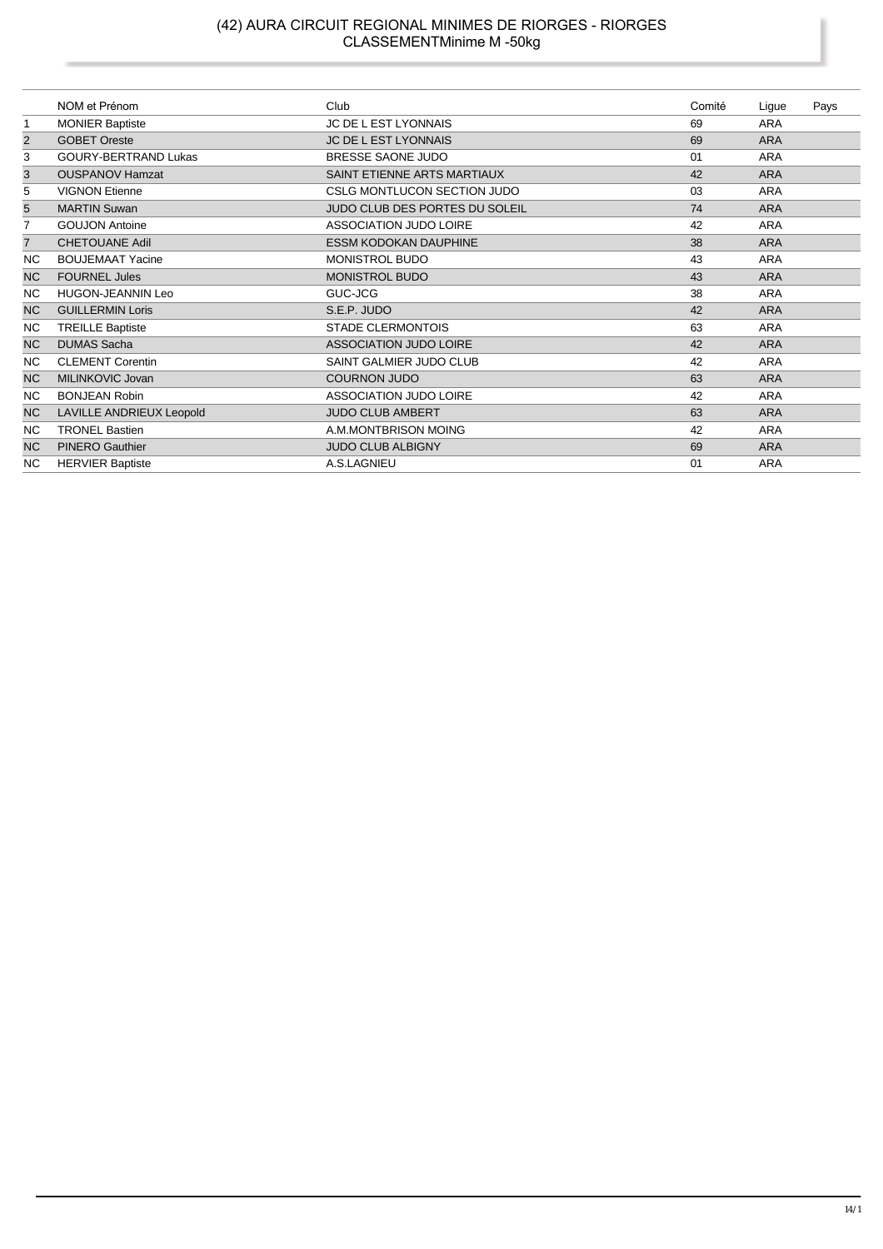#### (42) AURA CIRCUIT REGIONAL MINIMES DE RIORGES - RIORGES CLASSEMENTMinime M -50kg

|                | NOM et Prénom               | Club                           | Comité | Ligue      | Pays |
|----------------|-----------------------------|--------------------------------|--------|------------|------|
| $\mathbf{1}$   | <b>MONIER Baptiste</b>      | <b>JC DE L EST LYONNAIS</b>    | 69     | <b>ARA</b> |      |
| 2              | <b>GOBET Oreste</b>         | JC DE L EST LYONNAIS           | 69     | <b>ARA</b> |      |
| 3              | <b>GOURY-BERTRAND Lukas</b> | BRESSE SAONE JUDO              | 01     | <b>ARA</b> |      |
| 3              | <b>OUSPANOV Hamzat</b>      | SAINT ETIENNE ARTS MARTIAUX    | 42     | <b>ARA</b> |      |
| 5              | <b>VIGNON Etienne</b>       | CSLG MONTLUCON SECTION JUDO    | 03     | <b>ARA</b> |      |
| 5              | <b>MARTIN Suwan</b>         | JUDO CLUB DES PORTES DU SOLEIL | 74     | <b>ARA</b> |      |
| 7              | <b>GOUJON Antoine</b>       | ASSOCIATION JUDO LOIRE         | 42     | <b>ARA</b> |      |
| $\overline{7}$ | <b>CHETOUANE Adil</b>       | <b>ESSM KODOKAN DAUPHINE</b>   | 38     | <b>ARA</b> |      |
| <b>NC</b>      | <b>BOUJEMAAT Yacine</b>     | <b>MONISTROL BUDO</b>          | 43     | <b>ARA</b> |      |
| <b>NC</b>      | <b>FOURNEL Jules</b>        | <b>MONISTROL BUDO</b>          | 43     | <b>ARA</b> |      |
| <b>NC</b>      | HUGON-JEANNIN Leo           | GUC-JCG                        | 38     | <b>ARA</b> |      |
| <b>NC</b>      | <b>GUILLERMIN Loris</b>     | S.E.P. JUDO                    | 42     | <b>ARA</b> |      |
| <b>NC</b>      | <b>TREILLE Baptiste</b>     | <b>STADE CLERMONTOIS</b>       | 63     | <b>ARA</b> |      |
| <b>NC</b>      | <b>DUMAS Sacha</b>          | <b>ASSOCIATION JUDO LOIRE</b>  | 42     | <b>ARA</b> |      |
| <b>NC</b>      | <b>CLEMENT Corentin</b>     | SAINT GALMIER JUDO CLUB        | 42     | <b>ARA</b> |      |
| <b>NC</b>      | MILINKOVIC Jovan            | <b>COURNON JUDO</b>            | 63     | <b>ARA</b> |      |
| <b>NC</b>      | <b>BONJEAN Robin</b>        | <b>ASSOCIATION JUDO LOIRE</b>  | 42     | <b>ARA</b> |      |
| <b>NC</b>      | LAVILLE ANDRIEUX Leopold    | <b>JUDO CLUB AMBERT</b>        | 63     | <b>ARA</b> |      |
| <b>NC</b>      | <b>TRONEL Bastien</b>       | A.M.MONTBRISON MOING           | 42     | <b>ARA</b> |      |
| <b>NC</b>      | <b>PINERO Gauthier</b>      | <b>JUDO CLUB ALBIGNY</b>       | 69     | <b>ARA</b> |      |
| <b>NC</b>      | <b>HERVIER Baptiste</b>     | A.S.LAGNIEU                    | 01     | <b>ARA</b> |      |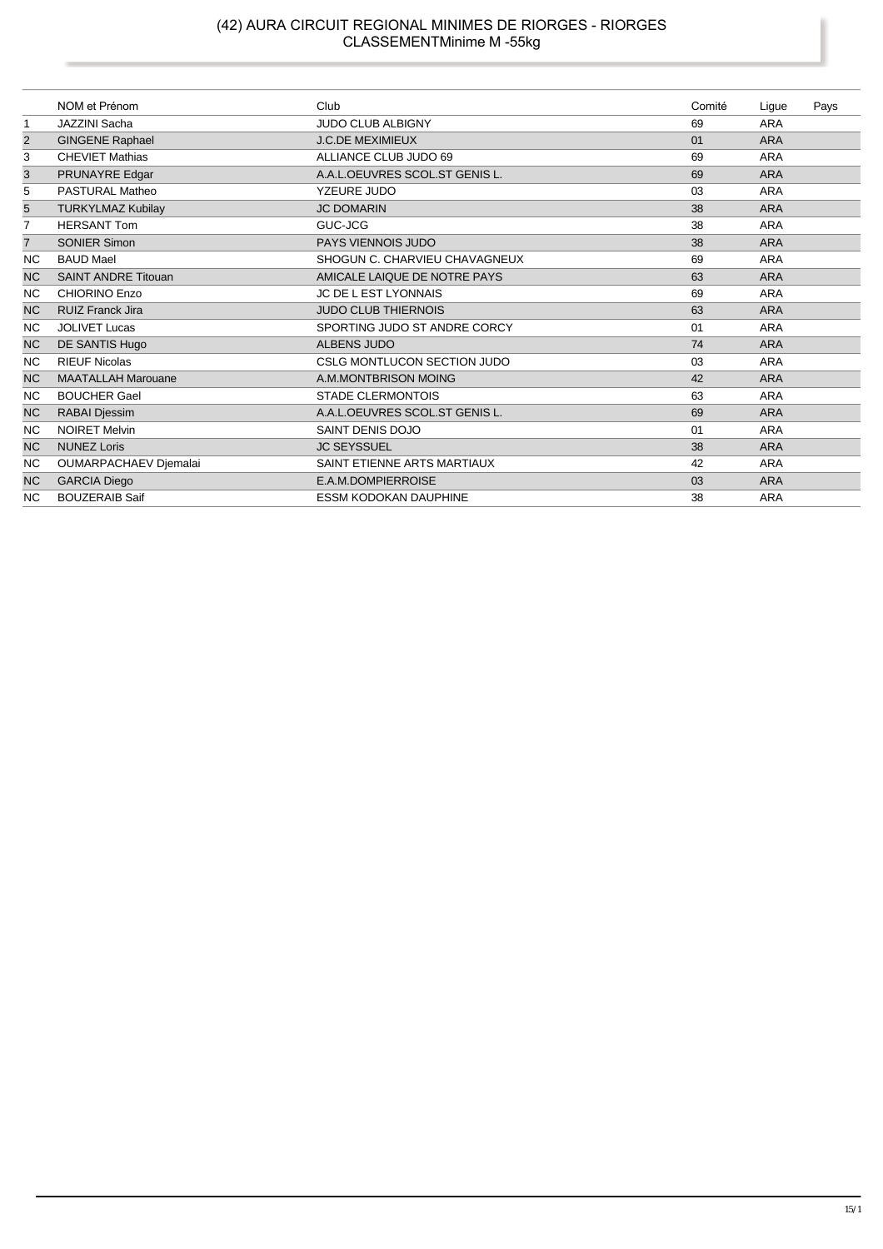# (42) AURA CIRCUIT REGIONAL MINIMES DE RIORGES - RIORGES<br>CLASSEMENTMinime M -55kg

|                | NOM et Prénom                | Club                           | Comité | Lique      | Pays |
|----------------|------------------------------|--------------------------------|--------|------------|------|
| 1              | JAZZINI Sacha                | <b>JUDO CLUB ALBIGNY</b>       | 69     | <b>ARA</b> |      |
| 2              | <b>GINGENE Raphael</b>       | <b>J.C.DE MEXIMIEUX</b>        | 01     | <b>ARA</b> |      |
| 3              | <b>CHEVIET Mathias</b>       | ALLIANCE CLUB JUDO 69          | 69     | <b>ARA</b> |      |
| 3              | PRUNAYRE Edgar               | A.A.L.OEUVRES SCOL.ST GENIS L. | 69     | <b>ARA</b> |      |
| 5              | PASTURAL Matheo              | <b>YZEURE JUDO</b>             | 03     | <b>ARA</b> |      |
| 5              | <b>TURKYLMAZ Kubilay</b>     | <b>JC DOMARIN</b>              | 38     | <b>ARA</b> |      |
| 7              | <b>HERSANT Tom</b>           | GUC-JCG                        | 38     | ARA        |      |
| $\overline{7}$ | <b>SONIER Simon</b>          | <b>PAYS VIENNOIS JUDO</b>      | 38     | <b>ARA</b> |      |
| NC.            | <b>BAUD Mael</b>             | SHOGUN C. CHARVIEU CHAVAGNEUX  | 69     | <b>ARA</b> |      |
| <b>NC</b>      | <b>SAINT ANDRE Titouan</b>   | AMICALE LAIQUE DE NOTRE PAYS   | 63     | <b>ARA</b> |      |
| NC.            | CHIORINO Enzo                | JC DE L EST LYONNAIS           | 69     | ARA        |      |
| <b>NC</b>      | <b>RUIZ Franck Jira</b>      | <b>JUDO CLUB THIERNOIS</b>     | 63     | <b>ARA</b> |      |
| NC.            | <b>JOLIVET Lucas</b>         | SPORTING JUDO ST ANDRE CORCY   | 01     | <b>ARA</b> |      |
| <b>NC</b>      | DE SANTIS Hugo               | <b>ALBENS JUDO</b>             | 74     | <b>ARA</b> |      |
| <b>NC</b>      | <b>RIEUF Nicolas</b>         | CSLG MONTLUCON SECTION JUDO    | 03     | <b>ARA</b> |      |
| <b>NC</b>      | <b>MAATALLAH Marouane</b>    | A.M.MONTBRISON MOING           | 42     | <b>ARA</b> |      |
| NC.            | <b>BOUCHER Gael</b>          | <b>STADE CLERMONTOIS</b>       | 63     | <b>ARA</b> |      |
| <b>NC</b>      | RABAI Djessim                | A.A.L.OEUVRES SCOL.ST GENIS L. | 69     | <b>ARA</b> |      |
| <b>NC</b>      | <b>NOIRET Melvin</b>         | SAINT DENIS DOJO               | 01     | <b>ARA</b> |      |
| <b>NC</b>      | <b>NUNEZ Loris</b>           | <b>JC SEYSSUEL</b>             | 38     | <b>ARA</b> |      |
| ΝC             | <b>OUMARPACHAEV Djemalai</b> | SAINT ETIENNE ARTS MARTIAUX    | 42     | <b>ARA</b> |      |
| <b>NC</b>      | <b>GARCIA Diego</b>          | E.A.M.DOMPIERROISE             | 03     | <b>ARA</b> |      |
| NC.            | <b>BOUZERAIB Saif</b>        | <b>ESSM KODOKAN DAUPHINE</b>   | 38     | <b>ARA</b> |      |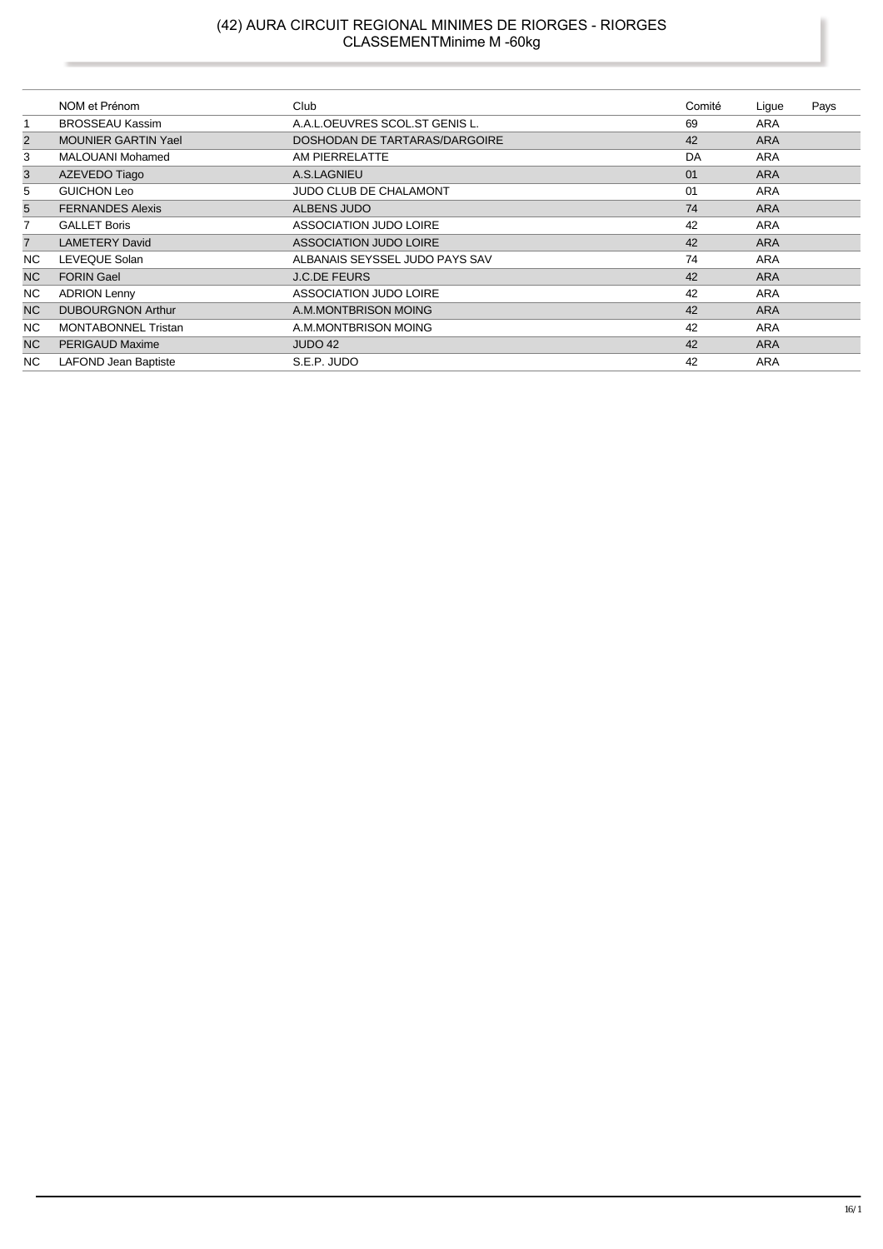#### (42) AURA CIRCUIT REGIONAL MINIMES DE RIORGES - RIORGES CLASSEMENTMinime M -60kg

| NOM et Prénom               | Club                           | Comité | Ligue      | Pays |
|-----------------------------|--------------------------------|--------|------------|------|
| <b>BROSSEAU Kassim</b>      | A.A.L.OEUVRES SCOL.ST GENIS L. | 69     | ARA        |      |
| <b>MOUNIER GARTIN Yael</b>  | DOSHODAN DE TARTARAS/DARGOIRE  | 42     | <b>ARA</b> |      |
| <b>MALOUANI Mohamed</b>     | AM PIERRELATTE                 | DA     | <b>ARA</b> |      |
| AZEVEDO Tiago               | A.S.LAGNIEU                    | 01     | <b>ARA</b> |      |
| <b>GUICHON Leo</b>          | <b>JUDO CLUB DE CHALAMONT</b>  | 01     | <b>ARA</b> |      |
| <b>FERNANDES Alexis</b>     | ALBENS JUDO                    | 74     | <b>ARA</b> |      |
| <b>GALLET Boris</b>         | <b>ASSOCIATION JUDO LOIRE</b>  | 42     | <b>ARA</b> |      |
| <b>LAMETERY David</b>       | <b>ASSOCIATION JUDO LOIRE</b>  | 42     | <b>ARA</b> |      |
| LEVEQUE Solan               | ALBANAIS SEYSSEL JUDO PAYS SAV | 74     | <b>ARA</b> |      |
| <b>FORIN Gael</b>           | <b>J.C.DE FEURS</b>            | 42     | <b>ARA</b> |      |
| <b>ADRION Lenny</b>         | <b>ASSOCIATION JUDO LOIRE</b>  | 42     | <b>ARA</b> |      |
| <b>DUBOURGNON Arthur</b>    | A.M.MONTBRISON MOING           | 42     | <b>ARA</b> |      |
| <b>MONTABONNEL Tristan</b>  | A.M.MONTBRISON MOING           | 42     | ARA        |      |
| <b>PERIGAUD Maxime</b>      | JUDO 42                        | 42     | <b>ARA</b> |      |
| <b>LAFOND Jean Baptiste</b> | S.E.P. JUDO                    | 42     | ARA        |      |
|                             |                                |        |            |      |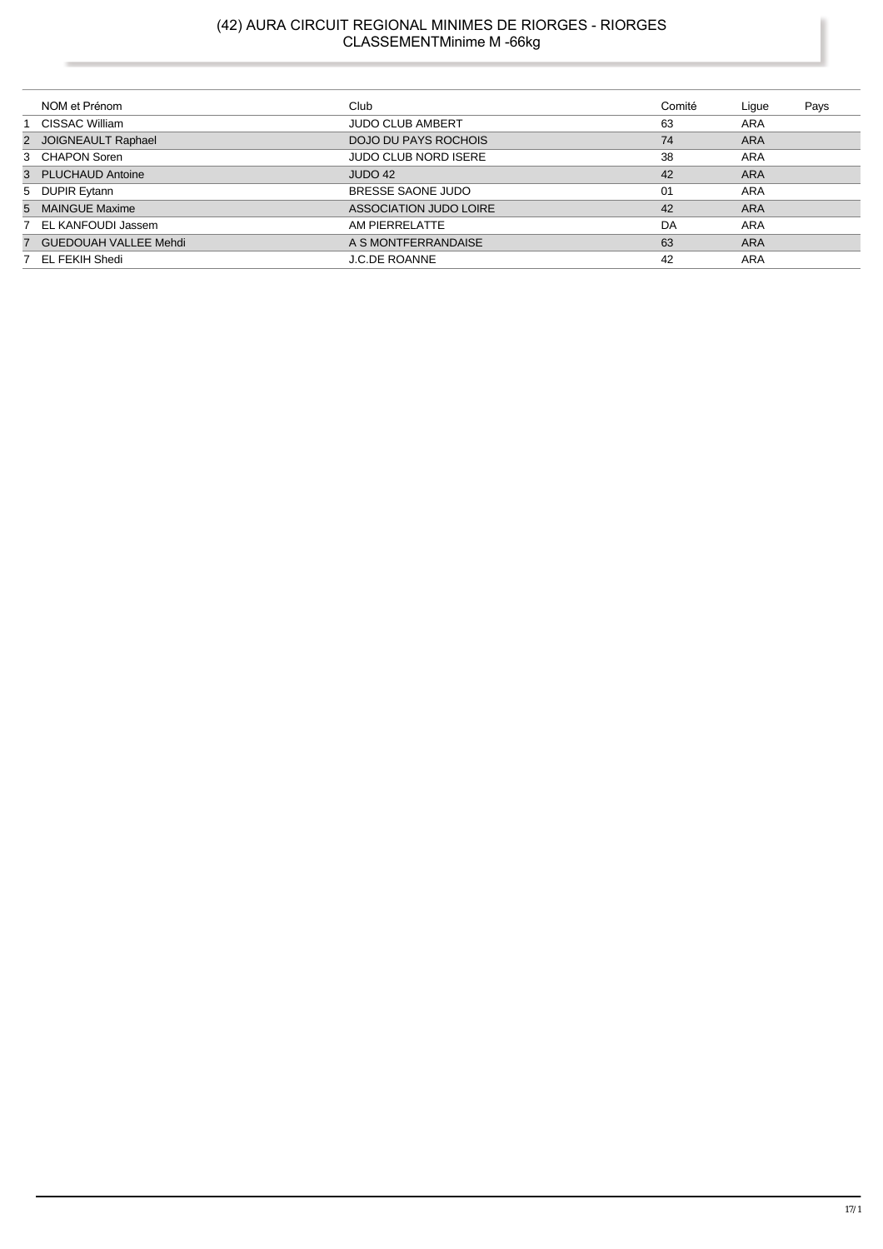# (42) AURA CIRCUIT REGIONAL MINIMES DE RIORGES - RIORGES<br>CLASSEMENTMinime M -66kg

| NOM et Prénom           | Club                          | Comité | Ligue      | Pays |
|-------------------------|-------------------------------|--------|------------|------|
| CISSAC William          | <b>JUDO CLUB AMBERT</b>       | 63     | ARA        |      |
| 2 JOIGNEAULT Raphael    | <b>DOJO DU PAYS ROCHOIS</b>   | 74     | <b>ARA</b> |      |
| 3 CHAPON Soren          | <b>JUDO CLUB NORD ISERE</b>   | 38     | <b>ARA</b> |      |
| 3 PLUCHAUD Antoine      | JUDO 42                       | 42     | <b>ARA</b> |      |
| 5 DUPIR Eytann          | BRESSE SAONE JUDO             | 01     | ARA        |      |
| 5 MAINGUE Maxime        | <b>ASSOCIATION JUDO LOIRE</b> | 42     | <b>ARA</b> |      |
| 7 EL KANFOUDI Jassem    | AM PIERRELATTE                | DA     | ARA        |      |
| 7 GUEDOUAH VALLEE Mehdi | A S MONTFERRANDAISE           | 63     | <b>ARA</b> |      |
| 7 EL FEKIH Shedi        | <b>J.C.DE ROANNE</b>          | 42     | ARA        |      |
|                         |                               |        |            |      |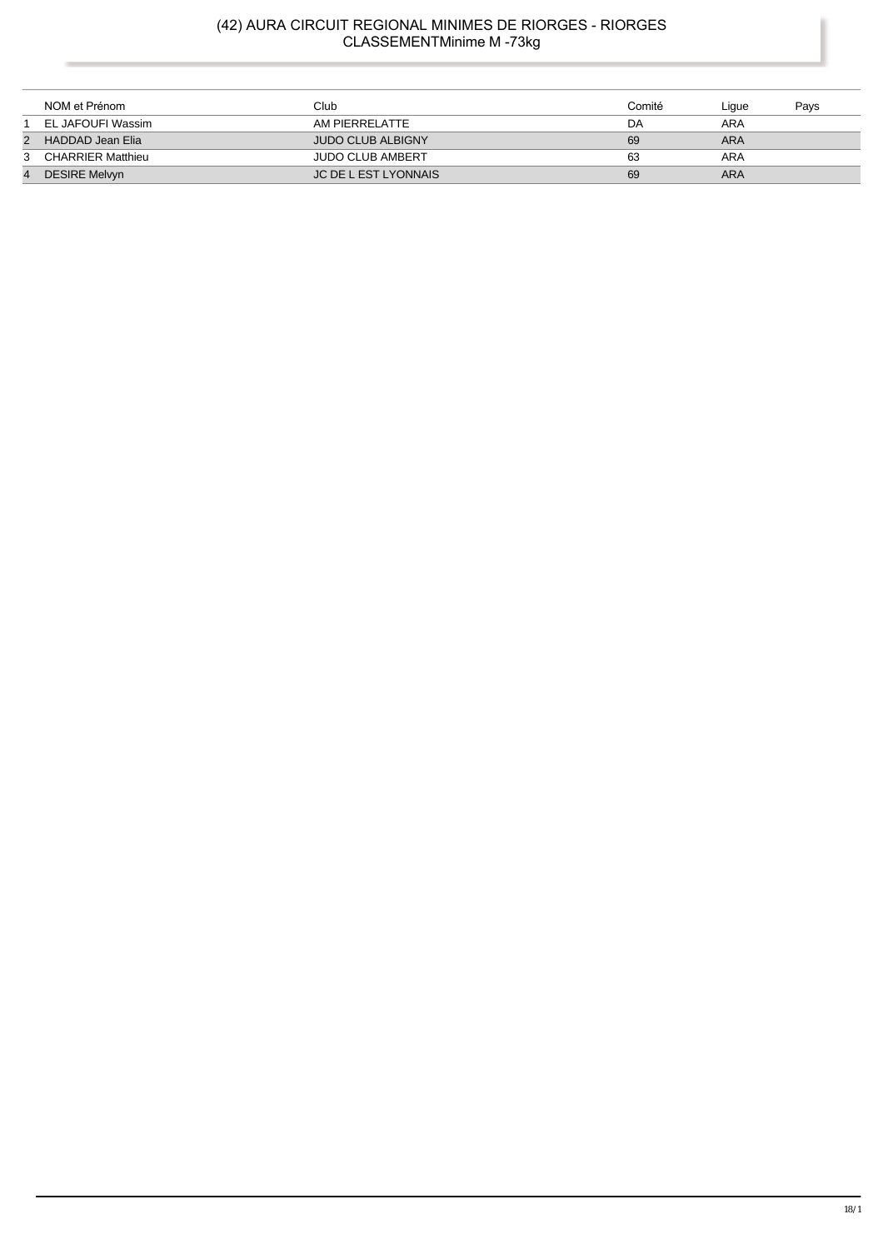#### (42) AURA CIRCUIT REGIONAL MINIMES DE RIORGES - RIORGES CLASSEMENTMinime M -73kg

|                | NOM et Prénom            | Club                        | Comité | Liaue      | Pavs |
|----------------|--------------------------|-----------------------------|--------|------------|------|
|                | EL JAFOUFI Wassim        | AM PIERRELATTE              | DA     | ARA        |      |
| 2              | HADDAD Jean Elia         | JUDO CLUB ALBIGNY           | 69     | <b>ARA</b> |      |
| 3              | <b>CHARRIER Matthieu</b> | <b>JUDO CLUB AMBERT</b>     | 63     | ARA        |      |
| $\overline{4}$ | <b>DESIRE Melvyn</b>     | <b>JC DE L EST LYONNAIS</b> | 69     | ARA        |      |